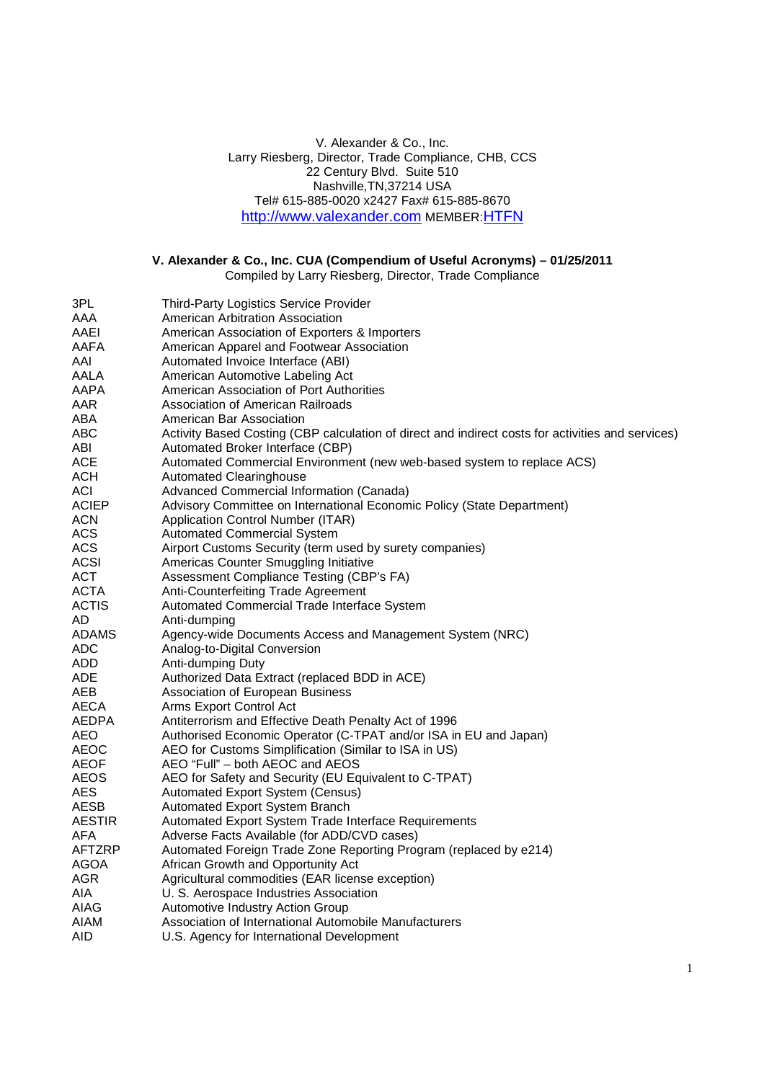V. Alexander & Co., Inc. Larry Riesberg, Director, Trade Compliance, CHB, CCS 22 Century Blvd. Suite 510 Nashville,TN,37214 USA Tel# 615-885-0020 x2427 Fax# 615-885-8670 http://www.valexander.com MEMBER:HTFN

## **V. Alexander & Co., Inc. CUA (Compendium of Useful Acronyms) – 01/25/2011**

Compiled by Larry Riesberg, Director, Trade Compliance

| 3PL           | Third-Party Logistics Service Provider                                                            |
|---------------|---------------------------------------------------------------------------------------------------|
| AAA           | American Arbitration Association                                                                  |
| AAEI          | American Association of Exporters & Importers                                                     |
| AAFA          | American Apparel and Footwear Association                                                         |
| AAI           | Automated Invoice Interface (ABI)                                                                 |
| AALA          | American Automotive Labeling Act                                                                  |
| AAPA          | American Association of Port Authorities                                                          |
|               |                                                                                                   |
| AAR           | Association of American Railroads                                                                 |
| ABA           | American Bar Association                                                                          |
| <b>ABC</b>    | Activity Based Costing (CBP calculation of direct and indirect costs for activities and services) |
| ABI           | Automated Broker Interface (CBP)                                                                  |
| ACE           | Automated Commercial Environment (new web-based system to replace ACS)                            |
| <b>ACH</b>    | <b>Automated Clearinghouse</b>                                                                    |
| ACI           | Advanced Commercial Information (Canada)                                                          |
| <b>ACIEP</b>  | Advisory Committee on International Economic Policy (State Department)                            |
| <b>ACN</b>    | Application Control Number (ITAR)                                                                 |
| <b>ACS</b>    | <b>Automated Commercial System</b>                                                                |
| ACS           | Airport Customs Security (term used by surety companies)                                          |
| <b>ACSI</b>   | Americas Counter Smuggling Initiative                                                             |
| <b>ACT</b>    | Assessment Compliance Testing (CBP's FA)                                                          |
| <b>ACTA</b>   | Anti-Counterfeiting Trade Agreement                                                               |
| <b>ACTIS</b>  | Automated Commercial Trade Interface System                                                       |
| AD            | Anti-dumping                                                                                      |
| <b>ADAMS</b>  | Agency-wide Documents Access and Management System (NRC)                                          |
|               |                                                                                                   |
| ADC           | Analog-to-Digital Conversion                                                                      |
| ADD           | Anti-dumping Duty                                                                                 |
| ADE           | Authorized Data Extract (replaced BDD in ACE)                                                     |
| AEB           | Association of European Business                                                                  |
| AECA          | Arms Export Control Act                                                                           |
| AEDPA         | Antiterrorism and Effective Death Penalty Act of 1996                                             |
| <b>AEO</b>    | Authorised Economic Operator (C-TPAT and/or ISA in EU and Japan)                                  |
| <b>AEOC</b>   | AEO for Customs Simplification (Similar to ISA in US)                                             |
| AEOF          | AEO "Full" – both AEOC and AEOS                                                                   |
| <b>AEOS</b>   | AEO for Safety and Security (EU Equivalent to C-TPAT)                                             |
| <b>AES</b>    | Automated Export System (Census)                                                                  |
| AESB          | Automated Export System Branch                                                                    |
| <b>AESTIR</b> | Automated Export System Trade Interface Requirements                                              |
| AFA           | Adverse Facts Available (for ADD/CVD cases)                                                       |
| AFTZRP        | Automated Foreign Trade Zone Reporting Program (replaced by e214)                                 |
| <b>AGOA</b>   | African Growth and Opportunity Act                                                                |
|               |                                                                                                   |
| AGR           | Agricultural commodities (EAR license exception)                                                  |
| AIA           | U. S. Aerospace Industries Association                                                            |
| AIAG          | Automotive Industry Action Group                                                                  |
| AIAM          | Association of International Automobile Manufacturers                                             |
| AID           | U.S. Agency for International Development                                                         |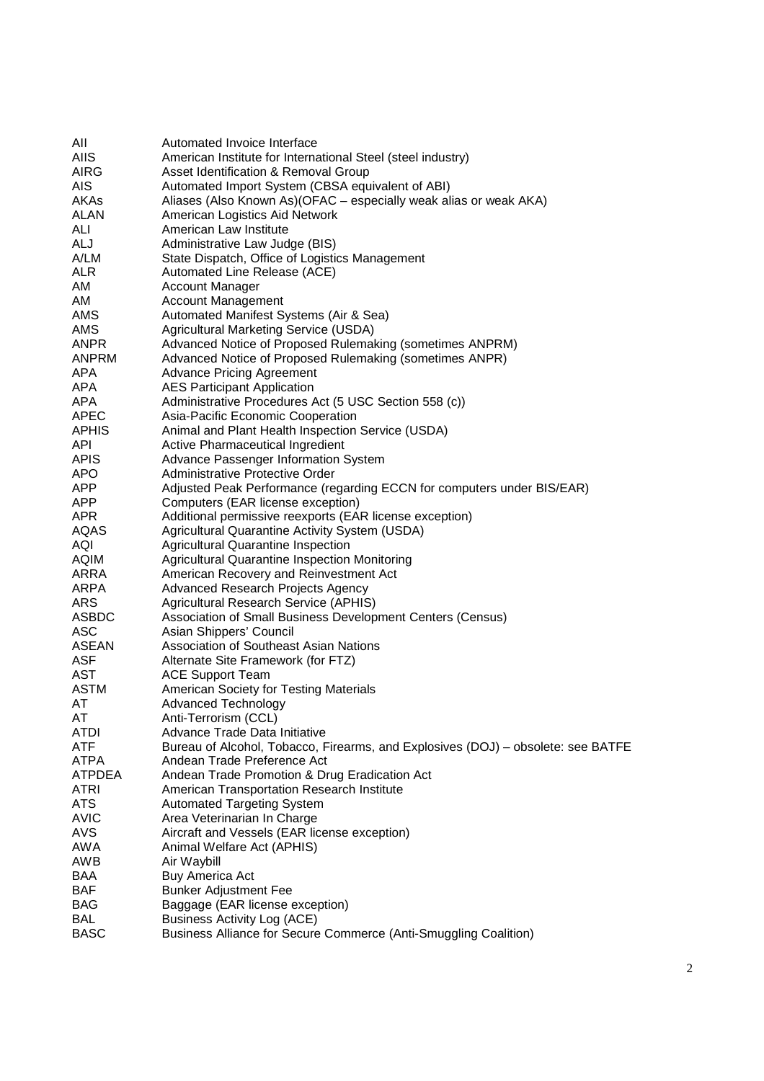| All           | Automated Invoice Interface                                                      |
|---------------|----------------------------------------------------------------------------------|
| AIIS          | American Institute for International Steel (steel industry)                      |
| AIRG          | Asset Identification & Removal Group                                             |
|               |                                                                                  |
| <b>AIS</b>    | Automated Import System (CBSA equivalent of ABI)                                 |
| AKAs          | Aliases (Also Known As)(OFAC - especially weak alias or weak AKA)                |
| ALAN          | American Logistics Aid Network                                                   |
| ALI           | American Law Institute                                                           |
| ALJ           | Administrative Law Judge (BIS)                                                   |
| A/LM          | State Dispatch, Office of Logistics Management                                   |
|               |                                                                                  |
| <b>ALR</b>    | Automated Line Release (ACE)                                                     |
| AM            | Account Manager                                                                  |
| AM            | <b>Account Management</b>                                                        |
| AMS           | Automated Manifest Systems (Air & Sea)                                           |
| AMS           | Agricultural Marketing Service (USDA)                                            |
| <b>ANPR</b>   | Advanced Notice of Proposed Rulemaking (sometimes ANPRM)                         |
| <b>ANPRM</b>  |                                                                                  |
|               | Advanced Notice of Proposed Rulemaking (sometimes ANPR)                          |
| <b>APA</b>    | <b>Advance Pricing Agreement</b>                                                 |
| APA           | <b>AES Participant Application</b>                                               |
| APA           | Administrative Procedures Act (5 USC Section 558 (c))                            |
| APEC          | Asia-Pacific Economic Cooperation                                                |
| <b>APHIS</b>  | Animal and Plant Health Inspection Service (USDA)                                |
| API           | Active Pharmaceutical Ingredient                                                 |
|               |                                                                                  |
| <b>APIS</b>   | Advance Passenger Information System                                             |
| APO           | Administrative Protective Order                                                  |
| APP           | Adjusted Peak Performance (regarding ECCN for computers under BIS/EAR)           |
| APP           | Computers (EAR license exception)                                                |
| <b>APR</b>    | Additional permissive reexports (EAR license exception)                          |
| AQAS          | Agricultural Quarantine Activity System (USDA)                                   |
| AQI           | <b>Agricultural Quarantine Inspection</b>                                        |
|               |                                                                                  |
| <b>AQIM</b>   | <b>Agricultural Quarantine Inspection Monitoring</b>                             |
| ARRA          | American Recovery and Reinvestment Act                                           |
| ARPA          | Advanced Research Projects Agency                                                |
| <b>ARS</b>    | Agricultural Research Service (APHIS)                                            |
| <b>ASBDC</b>  | Association of Small Business Development Centers (Census)                       |
| ASC           | Asian Shippers' Council                                                          |
| ASEAN         | Association of Southeast Asian Nations                                           |
|               |                                                                                  |
| ASF           | Alternate Site Framework (for FTZ)                                               |
| <b>AST</b>    | <b>ACE Support Team</b>                                                          |
| <b>ASTM</b>   | American Society for Testing Materials                                           |
| AT            | Advanced Technology                                                              |
| AT            | Anti-Terrorism (CCL)                                                             |
| ATDI          | Advance Trade Data Initiative                                                    |
| ATF           | Bureau of Alcohol, Tobacco, Firearms, and Explosives (DOJ) - obsolete: see BATFE |
|               |                                                                                  |
| <b>ATPA</b>   | Andean Trade Preference Act                                                      |
| <b>ATPDEA</b> | Andean Trade Promotion & Drug Eradication Act                                    |
| <b>ATRI</b>   | American Transportation Research Institute                                       |
| <b>ATS</b>    | <b>Automated Targeting System</b>                                                |
| <b>AVIC</b>   | Area Veterinarian In Charge                                                      |
| <b>AVS</b>    | Aircraft and Vessels (EAR license exception)                                     |
| AWA           | Animal Welfare Act (APHIS)                                                       |
| <b>AWB</b>    |                                                                                  |
|               | Air Waybill                                                                      |
| <b>BAA</b>    | <b>Buy America Act</b>                                                           |
| <b>BAF</b>    | <b>Bunker Adjustment Fee</b>                                                     |
| <b>BAG</b>    | Baggage (EAR license exception)                                                  |
| BAL           | <b>Business Activity Log (ACE)</b>                                               |
| <b>BASC</b>   | Business Alliance for Secure Commerce (Anti-Smuggling Coalition)                 |
|               |                                                                                  |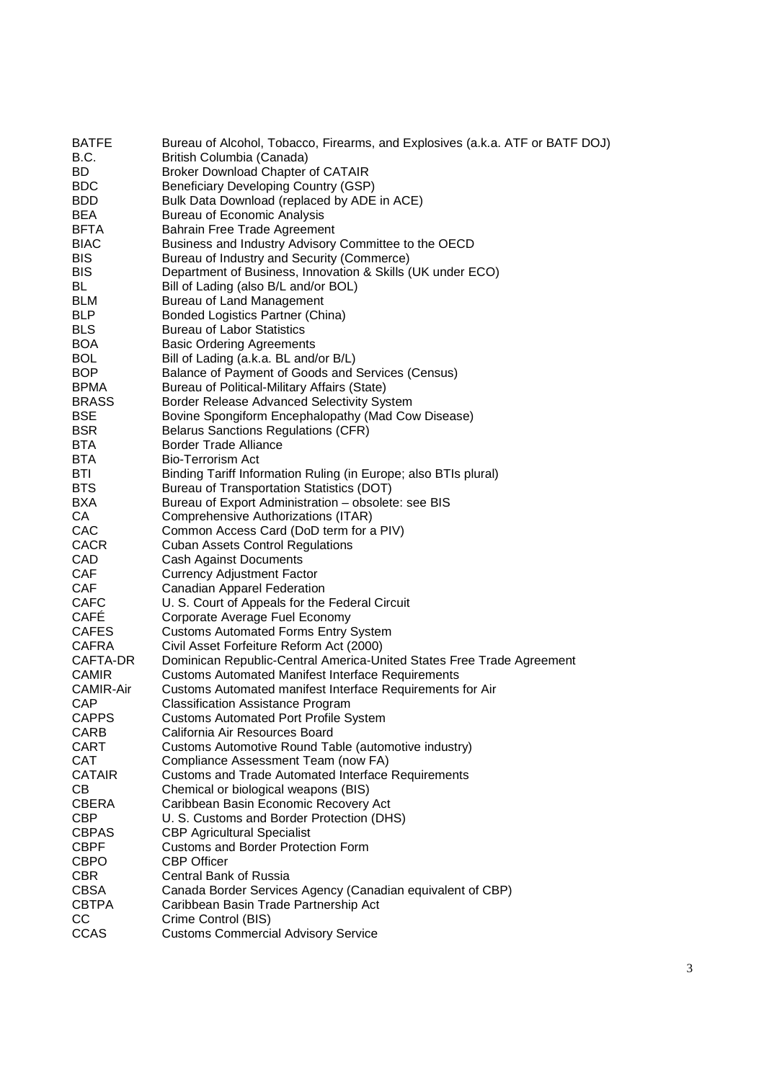| <b>BATFE</b>  | Bureau of Alcohol, Tobacco, Firearms, and Explosives (a.k.a. ATF or BATF DOJ) |
|---------------|-------------------------------------------------------------------------------|
| B.C.          | British Columbia (Canada)                                                     |
| BD.           | <b>Broker Download Chapter of CATAIR</b>                                      |
| <b>BDC</b>    | Beneficiary Developing Country (GSP)                                          |
| BDD.          | Bulk Data Download (replaced by ADE in ACE)                                   |
| BEA           | <b>Bureau of Economic Analysis</b>                                            |
| <b>BFTA</b>   | Bahrain Free Trade Agreement                                                  |
| <b>BIAC</b>   | Business and Industry Advisory Committee to the OECD                          |
| <b>BIS</b>    | Bureau of Industry and Security (Commerce)                                    |
| <b>BIS</b>    | Department of Business, Innovation & Skills (UK under ECO)                    |
|               |                                                                               |
| BL            | Bill of Lading (also B/L and/or BOL)                                          |
| BLM           | Bureau of Land Management                                                     |
| BLP           | Bonded Logistics Partner (China)                                              |
| <b>BLS</b>    | <b>Bureau of Labor Statistics</b>                                             |
| <b>BOA</b>    | <b>Basic Ordering Agreements</b>                                              |
| <b>BOL</b>    | Bill of Lading (a.k.a. BL and/or B/L)                                         |
| <b>BOP</b>    | Balance of Payment of Goods and Services (Census)                             |
| <b>BPMA</b>   | Bureau of Political-Military Affairs (State)                                  |
| <b>BRASS</b>  | Border Release Advanced Selectivity System                                    |
| <b>BSE</b>    | Bovine Spongiform Encephalopathy (Mad Cow Disease)                            |
| <b>BSR</b>    | <b>Belarus Sanctions Regulations (CFR)</b>                                    |
| <b>BTA</b>    | <b>Border Trade Alliance</b>                                                  |
| <b>BTA</b>    | <b>Bio-Terrorism Act</b>                                                      |
| BTI           | Binding Tariff Information Ruling (in Europe; also BTIs plural)               |
| <b>BTS</b>    | Bureau of Transportation Statistics (DOT)                                     |
| BXA           | Bureau of Export Administration - obsolete: see BIS                           |
| CA            | Comprehensive Authorizations (ITAR)                                           |
| <b>CAC</b>    | Common Access Card (DoD term for a PIV)                                       |
| CACR          | <b>Cuban Assets Control Regulations</b>                                       |
| CAD           | <b>Cash Against Documents</b>                                                 |
| CAF           | <b>Currency Adjustment Factor</b>                                             |
| CAF           | Canadian Apparel Federation                                                   |
| <b>CAFC</b>   | U. S. Court of Appeals for the Federal Circuit                                |
| <b>CAFÉ</b>   | Corporate Average Fuel Economy                                                |
| <b>CAFES</b>  | <b>Customs Automated Forms Entry System</b>                                   |
| <b>CAFRA</b>  | Civil Asset Forfeiture Reform Act (2000)                                      |
| CAFTA-DR      | Dominican Republic-Central America-United States Free Trade Agreement         |
| <b>CAMIR</b>  | <b>Customs Automated Manifest Interface Requirements</b>                      |
| CAMIR-Air     | Customs Automated manifest Interface Requirements for Air                     |
| CAP           | <b>Classification Assistance Program</b>                                      |
| <b>CAPPS</b>  | <b>Customs Automated Port Profile System</b>                                  |
| <b>CARB</b>   | California Air Resources Board                                                |
| CART          |                                                                               |
|               | Customs Automotive Round Table (automotive industry)                          |
| CAT           | Compliance Assessment Team (now FA)                                           |
| <b>CATAIR</b> | Customs and Trade Automated Interface Requirements                            |
| CВ            | Chemical or biological weapons (BIS)                                          |
| <b>CBERA</b>  | Caribbean Basin Economic Recovery Act                                         |
| <b>CBP</b>    | U. S. Customs and Border Protection (DHS)                                     |
| <b>CBPAS</b>  | <b>CBP Agricultural Specialist</b>                                            |
| <b>CBPF</b>   | Customs and Border Protection Form                                            |
| <b>CBPO</b>   | <b>CBP Officer</b>                                                            |
| <b>CBR</b>    | Central Bank of Russia                                                        |
| <b>CBSA</b>   | Canada Border Services Agency (Canadian equivalent of CBP)                    |
| <b>CBTPA</b>  | Caribbean Basin Trade Partnership Act                                         |
| cc            | Crime Control (BIS)                                                           |
| <b>CCAS</b>   | <b>Customs Commercial Advisory Service</b>                                    |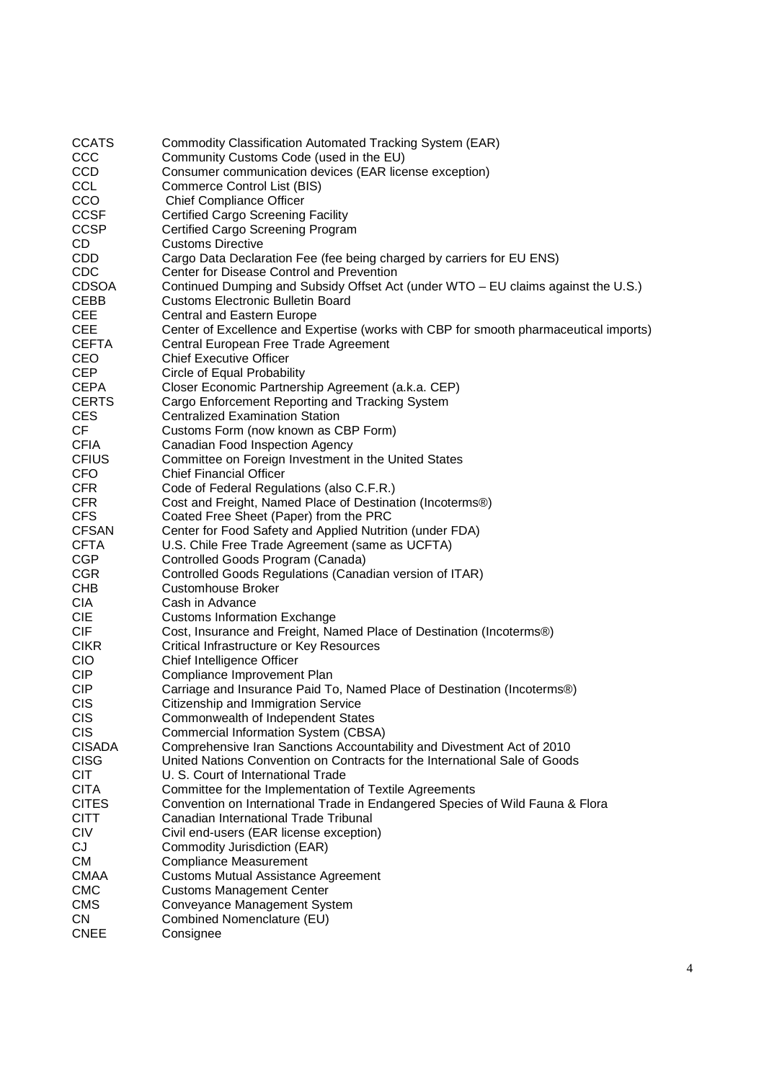| <b>CCATS</b>  | Commodity Classification Automated Tracking System (EAR)                              |
|---------------|---------------------------------------------------------------------------------------|
| CCC           | Community Customs Code (used in the EU)                                               |
| <b>CCD</b>    | Consumer communication devices (EAR license exception)                                |
| <b>CCL</b>    | Commerce Control List (BIS)                                                           |
| <b>CCO</b>    | <b>Chief Compliance Officer</b>                                                       |
| <b>CCSF</b>   | <b>Certified Cargo Screening Facility</b>                                             |
| <b>CCSP</b>   | Certified Cargo Screening Program                                                     |
| CD            | <b>Customs Directive</b>                                                              |
| <b>CDD</b>    | Cargo Data Declaration Fee (fee being charged by carriers for EU ENS)                 |
| <b>CDC</b>    |                                                                                       |
|               | Center for Disease Control and Prevention                                             |
| <b>CDSOA</b>  | Continued Dumping and Subsidy Offset Act (under WTO - EU claims against the U.S.)     |
| <b>CEBB</b>   | <b>Customs Electronic Bulletin Board</b>                                              |
| CEE           | Central and Eastern Europe                                                            |
| CEE           | Center of Excellence and Expertise (works with CBP for smooth pharmaceutical imports) |
| <b>CEFTA</b>  | Central European Free Trade Agreement                                                 |
| CEO           | <b>Chief Executive Officer</b>                                                        |
| <b>CEP</b>    | Circle of Equal Probability                                                           |
| <b>CEPA</b>   | Closer Economic Partnership Agreement (a.k.a. CEP)                                    |
| <b>CERTS</b>  | Cargo Enforcement Reporting and Tracking System                                       |
| <b>CES</b>    | <b>Centralized Examination Station</b>                                                |
| <b>CF</b>     | Customs Form (now known as CBP Form)                                                  |
| <b>CFIA</b>   | Canadian Food Inspection Agency                                                       |
| <b>CFIUS</b>  | Committee on Foreign Investment in the United States                                  |
| <b>CFO</b>    | <b>Chief Financial Officer</b>                                                        |
| <b>CFR</b>    | Code of Federal Regulations (also C.F.R.)                                             |
| <b>CFR</b>    | Cost and Freight, Named Place of Destination (Incoterms®)                             |
| <b>CFS</b>    | Coated Free Sheet (Paper) from the PRC                                                |
| <b>CFSAN</b>  | Center for Food Safety and Applied Nutrition (under FDA)                              |
| <b>CFTA</b>   |                                                                                       |
|               | U.S. Chile Free Trade Agreement (same as UCFTA)                                       |
| <b>CGP</b>    | Controlled Goods Program (Canada)                                                     |
| <b>CGR</b>    | Controlled Goods Regulations (Canadian version of ITAR)                               |
| <b>CHB</b>    | <b>Customhouse Broker</b>                                                             |
| CIA           | Cash in Advance                                                                       |
| <b>CIE</b>    | <b>Customs Information Exchange</b>                                                   |
| <b>CIF</b>    | Cost, Insurance and Freight, Named Place of Destination (Incoterms®)                  |
| <b>CIKR</b>   | Critical Infrastructure or Key Resources                                              |
| <b>CIO</b>    | Chief Intelligence Officer                                                            |
| <b>CIP</b>    | Compliance Improvement Plan                                                           |
| <b>CIP</b>    | Carriage and Insurance Paid To, Named Place of Destination (Incoterms®)               |
| <b>CIS</b>    | Citizenship and Immigration Service                                                   |
| <b>CIS</b>    | Commonwealth of Independent States                                                    |
| <b>CIS</b>    | Commercial Information System (CBSA)                                                  |
| <b>CISADA</b> | Comprehensive Iran Sanctions Accountability and Divestment Act of 2010                |
| <b>CISG</b>   | United Nations Convention on Contracts for the International Sale of Goods            |
| <b>CIT</b>    | U. S. Court of International Trade                                                    |
| <b>CITA</b>   | Committee for the Implementation of Textile Agreements                                |
| <b>CITES</b>  | Convention on International Trade in Endangered Species of Wild Fauna & Flora         |
| <b>CITT</b>   | Canadian International Trade Tribunal                                                 |
| <b>CIV</b>    | Civil end-users (EAR license exception)                                               |
|               |                                                                                       |
| CJ            | Commodity Jurisdiction (EAR)                                                          |
| СM            | <b>Compliance Measurement</b>                                                         |
| <b>CMAA</b>   | <b>Customs Mutual Assistance Agreement</b>                                            |
| <b>CMC</b>    | <b>Customs Management Center</b>                                                      |
| <b>CMS</b>    | Conveyance Management System                                                          |
| <b>CN</b>     | Combined Nomenclature (EU)                                                            |
| <b>CNEE</b>   | Consignee                                                                             |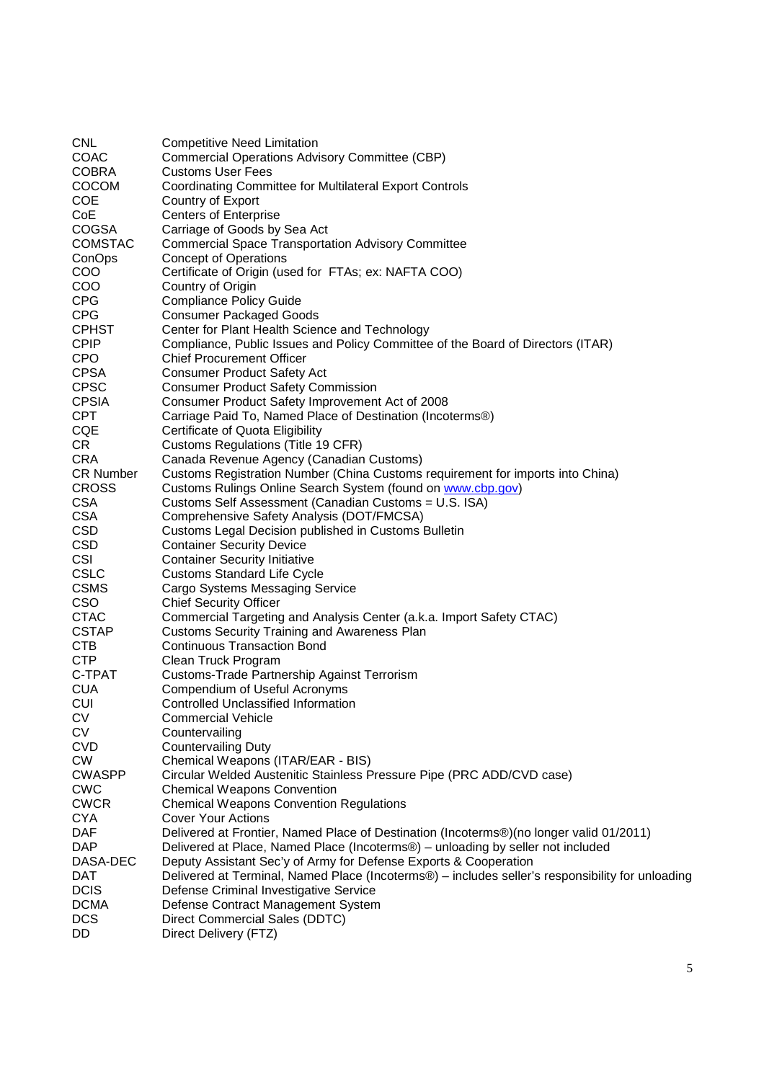| <b>CNL</b>       | <b>Competitive Need Limitation</b>                                                               |
|------------------|--------------------------------------------------------------------------------------------------|
| COAC             | <b>Commercial Operations Advisory Committee (CBP)</b>                                            |
| <b>COBRA</b>     | <b>Customs User Fees</b>                                                                         |
| <b>COCOM</b>     | <b>Coordinating Committee for Multilateral Export Controls</b>                                   |
| <b>COE</b>       | Country of Export                                                                                |
| CoE              | <b>Centers of Enterprise</b>                                                                     |
| <b>COGSA</b>     | Carriage of Goods by Sea Act                                                                     |
| <b>COMSTAC</b>   | <b>Commercial Space Transportation Advisory Committee</b>                                        |
|                  |                                                                                                  |
| ConOps           | <b>Concept of Operations</b>                                                                     |
| <b>COO</b>       | Certificate of Origin (used for FTAs; ex: NAFTA COO)                                             |
| <b>COO</b>       | Country of Origin                                                                                |
| CPG              | <b>Compliance Policy Guide</b>                                                                   |
| <b>CPG</b>       | <b>Consumer Packaged Goods</b>                                                                   |
| <b>CPHST</b>     | Center for Plant Health Science and Technology                                                   |
| <b>CPIP</b>      | Compliance, Public Issues and Policy Committee of the Board of Directors (ITAR)                  |
| <b>CPO</b>       | <b>Chief Procurement Officer</b>                                                                 |
| <b>CPSA</b>      | <b>Consumer Product Safety Act</b>                                                               |
| <b>CPSC</b>      | <b>Consumer Product Safety Commission</b>                                                        |
| <b>CPSIA</b>     | Consumer Product Safety Improvement Act of 2008                                                  |
| <b>CPT</b>       | Carriage Paid To, Named Place of Destination (Incoterms®)                                        |
| <b>CQE</b>       | Certificate of Quota Eligibility                                                                 |
| CR.              | Customs Regulations (Title 19 CFR)                                                               |
| <b>CRA</b>       | Canada Revenue Agency (Canadian Customs)                                                         |
| <b>CR Number</b> | Customs Registration Number (China Customs requirement for imports into China)                   |
| <b>CROSS</b>     | Customs Rulings Online Search System (found on www.cbp.gov)                                      |
| <b>CSA</b>       | Customs Self Assessment (Canadian Customs = U.S. ISA)                                            |
| <b>CSA</b>       | Comprehensive Safety Analysis (DOT/FMCSA)                                                        |
| <b>CSD</b>       | Customs Legal Decision published in Customs Bulletin                                             |
| <b>CSD</b>       | <b>Container Security Device</b>                                                                 |
| <b>CSI</b>       | <b>Container Security Initiative</b>                                                             |
| <b>CSLC</b>      | <b>Customs Standard Life Cycle</b>                                                               |
| <b>CSMS</b>      |                                                                                                  |
| CSO              | Cargo Systems Messaging Service<br><b>Chief Security Officer</b>                                 |
|                  |                                                                                                  |
| <b>CTAC</b>      | Commercial Targeting and Analysis Center (a.k.a. Import Safety CTAC)                             |
| <b>CSTAP</b>     | <b>Customs Security Training and Awareness Plan</b>                                              |
| <b>CTB</b>       | <b>Continuous Transaction Bond</b>                                                               |
| <b>CTP</b>       | Clean Truck Program                                                                              |
| C-TPAT           | <b>Customs-Trade Partnership Against Terrorism</b>                                               |
| <b>CUA</b>       | Compendium of Useful Acronyms                                                                    |
| <b>CUI</b>       | Controlled Unclassified Information                                                              |
| СV               | <b>Commercial Vehicle</b>                                                                        |
| <b>CV</b>        | Countervailing                                                                                   |
| <b>CVD</b>       | <b>Countervailing Duty</b>                                                                       |
| <b>CW</b>        | Chemical Weapons (ITAR/EAR - BIS)                                                                |
| <b>CWASPP</b>    | Circular Welded Austenitic Stainless Pressure Pipe (PRC ADD/CVD case)                            |
| <b>CWC</b>       | <b>Chemical Weapons Convention</b>                                                               |
| <b>CWCR</b>      | <b>Chemical Weapons Convention Regulations</b>                                                   |
| <b>CYA</b>       | <b>Cover Your Actions</b>                                                                        |
| <b>DAF</b>       | Delivered at Frontier, Named Place of Destination (Incoterms®)(no longer valid 01/2011)          |
| <b>DAP</b>       | Delivered at Place, Named Place (Incoterms®) – unloading by seller not included                  |
| DASA-DEC         | Deputy Assistant Sec'y of Army for Defense Exports & Cooperation                                 |
| <b>DAT</b>       | Delivered at Terminal, Named Place (Incoterms®) – includes seller's responsibility for unloading |
| <b>DCIS</b>      | Defense Criminal Investigative Service                                                           |
| <b>DCMA</b>      | Defense Contract Management System                                                               |
| <b>DCS</b>       | Direct Commercial Sales (DDTC)                                                                   |
| DD               | Direct Delivery (FTZ)                                                                            |
|                  |                                                                                                  |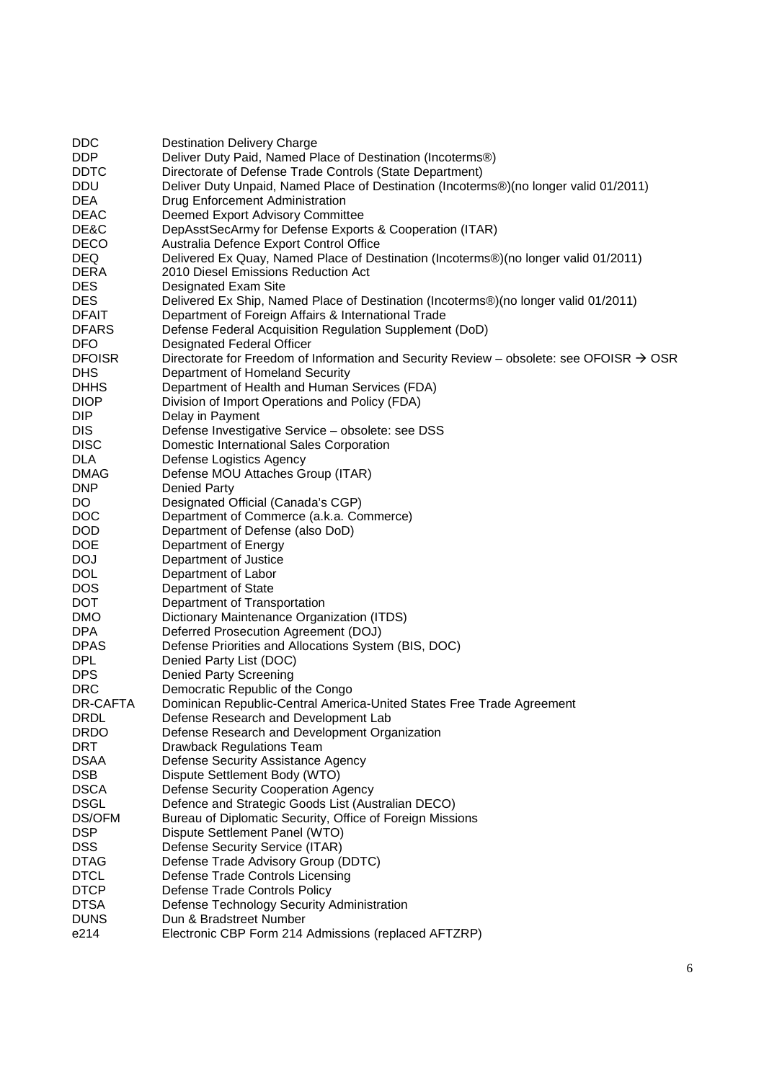| <b>DDC</b>    | <b>Destination Delivery Charge</b>                                                                  |
|---------------|-----------------------------------------------------------------------------------------------------|
| DDP           | Deliver Duty Paid, Named Place of Destination (Incoterms®)                                          |
| <b>DDTC</b>   | Directorate of Defense Trade Controls (State Department)                                            |
| <b>DDU</b>    | Deliver Duty Unpaid, Named Place of Destination (Incoterms®)(no longer valid 01/2011)               |
| <b>DEA</b>    | Drug Enforcement Administration                                                                     |
| <b>DEAC</b>   | Deemed Export Advisory Committee                                                                    |
| DE&C          |                                                                                                     |
|               | DepAsstSecArmy for Defense Exports & Cooperation (ITAR)                                             |
| <b>DECO</b>   | Australia Defence Export Control Office                                                             |
| <b>DEQ</b>    | Delivered Ex Quay, Named Place of Destination (Incoterms®)(no longer valid 01/2011)                 |
| DERA          | 2010 Diesel Emissions Reduction Act                                                                 |
| <b>DES</b>    | Designated Exam Site                                                                                |
| <b>DES</b>    | Delivered Ex Ship, Named Place of Destination (Incoterms®)(no longer valid 01/2011)                 |
| <b>DFAIT</b>  | Department of Foreign Affairs & International Trade                                                 |
| <b>DFARS</b>  | Defense Federal Acquisition Regulation Supplement (DoD)                                             |
| <b>DFO</b>    | Designated Federal Officer                                                                          |
| <b>DFOISR</b> | Directorate for Freedom of Information and Security Review – obsolete: see OFOISR $\rightarrow$ OSR |
| <b>DHS</b>    | Department of Homeland Security                                                                     |
| <b>DHHS</b>   | Department of Health and Human Services (FDA)                                                       |
| <b>DIOP</b>   | Division of Import Operations and Policy (FDA)                                                      |
|               |                                                                                                     |
| <b>DIP</b>    | Delay in Payment                                                                                    |
| <b>DIS</b>    | Defense Investigative Service - obsolete: see DSS                                                   |
| <b>DISC</b>   | Domestic International Sales Corporation                                                            |
| <b>DLA</b>    | Defense Logistics Agency                                                                            |
| <b>DMAG</b>   | Defense MOU Attaches Group (ITAR)                                                                   |
| <b>DNP</b>    | <b>Denied Party</b>                                                                                 |
| DO.           | Designated Official (Canada's CGP)                                                                  |
| <b>DOC</b>    | Department of Commerce (a.k.a. Commerce)                                                            |
| <b>DOD</b>    | Department of Defense (also DoD)                                                                    |
| <b>DOE</b>    | Department of Energy                                                                                |
| <b>DOJ</b>    | Department of Justice                                                                               |
| <b>DOL</b>    | Department of Labor                                                                                 |
| <b>DOS</b>    | Department of State                                                                                 |
| <b>DOT</b>    | Department of Transportation                                                                        |
| <b>DMO</b>    | Dictionary Maintenance Organization (ITDS)                                                          |
| <b>DPA</b>    | Deferred Prosecution Agreement (DOJ)                                                                |
| <b>DPAS</b>   | Defense Priorities and Allocations System (BIS, DOC)                                                |
| <b>DPL</b>    | Denied Party List (DOC)                                                                             |
| <b>DPS</b>    | Denied Party Screening                                                                              |
| <b>DRC</b>    | Democratic Republic of the Congo                                                                    |
| DR-CAFTA      | Dominican Republic-Central America-United States Free Trade Agreement                               |
| <b>DRDL</b>   | Defense Research and Development Lab                                                                |
| <b>DRDO</b>   | Defense Research and Development Organization                                                       |
| <b>DRT</b>    | <b>Drawback Regulations Team</b>                                                                    |
| <b>DSAA</b>   |                                                                                                     |
|               | Defense Security Assistance Agency                                                                  |
| <b>DSB</b>    | Dispute Settlement Body (WTO)                                                                       |
| <b>DSCA</b>   | Defense Security Cooperation Agency                                                                 |
| <b>DSGL</b>   | Defence and Strategic Goods List (Australian DECO)                                                  |
| DS/OFM        | Bureau of Diplomatic Security, Office of Foreign Missions                                           |
| <b>DSP</b>    | Dispute Settlement Panel (WTO)                                                                      |
| <b>DSS</b>    | Defense Security Service (ITAR)                                                                     |
| <b>DTAG</b>   | Defense Trade Advisory Group (DDTC)                                                                 |
| <b>DTCL</b>   | Defense Trade Controls Licensing                                                                    |
| <b>DTCP</b>   | Defense Trade Controls Policy                                                                       |
| <b>DTSA</b>   | Defense Technology Security Administration                                                          |
| <b>DUNS</b>   | Dun & Bradstreet Number                                                                             |
| e214          | Electronic CBP Form 214 Admissions (replaced AFTZRP)                                                |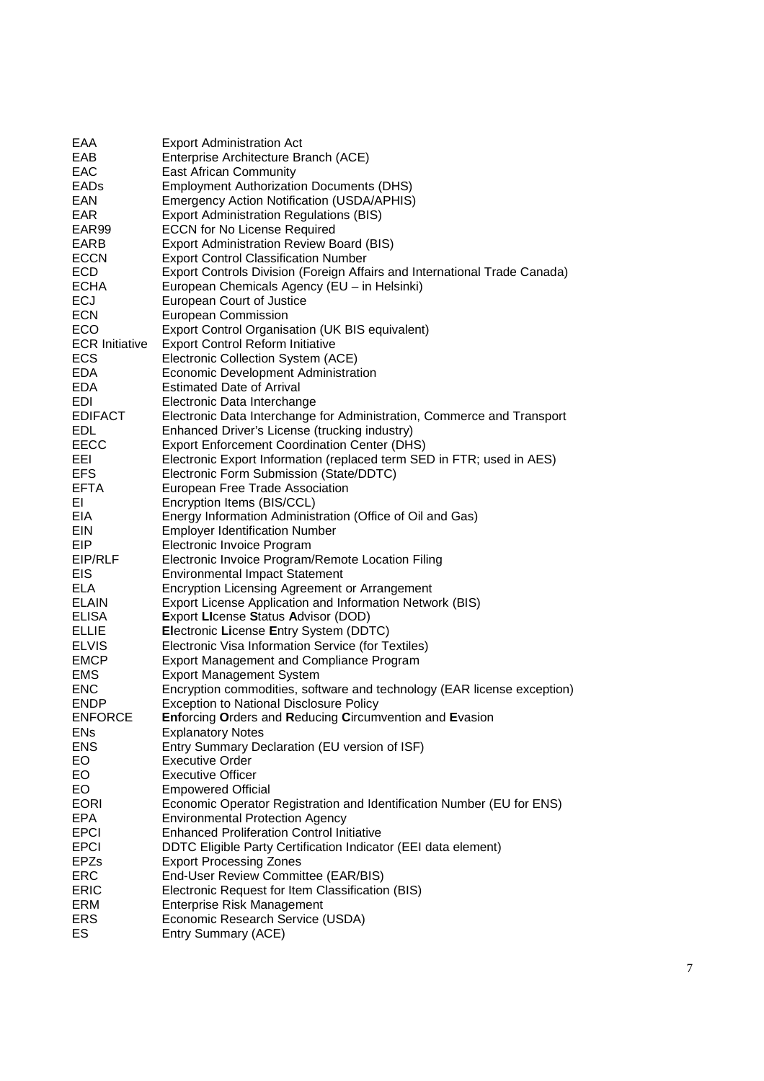| EAA                   | <b>Export Administration Act</b>                                          |
|-----------------------|---------------------------------------------------------------------------|
| EAB                   | Enterprise Architecture Branch (ACE)                                      |
| <b>EAC</b>            | <b>East African Community</b>                                             |
|                       |                                                                           |
| EADs                  | <b>Employment Authorization Documents (DHS)</b>                           |
| <b>EAN</b>            | Emergency Action Notification (USDA/APHIS)                                |
| EAR                   | <b>Export Administration Regulations (BIS)</b>                            |
| EAR99                 | <b>ECCN</b> for No License Required                                       |
| EARB                  | <b>Export Administration Review Board (BIS)</b>                           |
| <b>ECCN</b>           |                                                                           |
|                       | <b>Export Control Classification Number</b>                               |
| ECD                   | Export Controls Division (Foreign Affairs and International Trade Canada) |
| <b>ECHA</b>           | European Chemicals Agency (EU - in Helsinki)                              |
| <b>ECJ</b>            | European Court of Justice                                                 |
| <b>ECN</b>            | European Commission                                                       |
| ECO                   | Export Control Organisation (UK BIS equivalent)                           |
| <b>ECR Initiative</b> | <b>Export Control Reform Initiative</b>                                   |
|                       |                                                                           |
| ECS                   | Electronic Collection System (ACE)                                        |
| EDA                   | Economic Development Administration                                       |
| EDA                   | <b>Estimated Date of Arrival</b>                                          |
| EDI                   | Electronic Data Interchange                                               |
| EDIFACT               | Electronic Data Interchange for Administration, Commerce and Transport    |
| EDL                   | Enhanced Driver's License (trucking industry)                             |
| EECC                  | <b>Export Enforcement Coordination Center (DHS)</b>                       |
|                       |                                                                           |
| EEL                   | Electronic Export Information (replaced term SED in FTR; used in AES)     |
| <b>EFS</b>            | Electronic Form Submission (State/DDTC)                                   |
| EFTA                  | European Free Trade Association                                           |
| ΕL                    | Encryption Items (BIS/CCL)                                                |
| <b>EIA</b>            | Energy Information Administration (Office of Oil and Gas)                 |
| <b>EIN</b>            | <b>Employer Identification Number</b>                                     |
| <b>EIP</b>            | Electronic Invoice Program                                                |
| EIP/RLF               | Electronic Invoice Program/Remote Location Filing                         |
|                       |                                                                           |
| <b>EIS</b>            | <b>Environmental Impact Statement</b>                                     |
| ELA                   | Encryption Licensing Agreement or Arrangement                             |
| <b>ELAIN</b>          | Export License Application and Information Network (BIS)                  |
| <b>ELISA</b>          | Export License Status Advisor (DOD)                                       |
| <b>ELLIE</b>          | Electronic License Entry System (DDTC)                                    |
| <b>ELVIS</b>          | Electronic Visa Information Service (for Textiles)                        |
| <b>EMCP</b>           | <b>Export Management and Compliance Program</b>                           |
| <b>EMS</b>            |                                                                           |
|                       | <b>Export Management System</b>                                           |
| <b>ENC</b>            | Encryption commodities, software and technology (EAR license exception)   |
| <b>ENDP</b>           | <b>Exception to National Disclosure Policy</b>                            |
| <b>ENFORCE</b>        | <b>Enforcing Orders and Reducing Circumvention and Evasion</b>            |
| ENs                   | <b>Explanatory Notes</b>                                                  |
| <b>ENS</b>            | Entry Summary Declaration (EU version of ISF)                             |
| EO.                   | <b>Executive Order</b>                                                    |
| EO                    | <b>Executive Officer</b>                                                  |
| EO                    |                                                                           |
|                       | <b>Empowered Official</b>                                                 |
| <b>EORI</b>           | Economic Operator Registration and Identification Number (EU for ENS)     |
| <b>EPA</b>            | <b>Environmental Protection Agency</b>                                    |
| <b>EPCI</b>           | <b>Enhanced Proliferation Control Initiative</b>                          |
| <b>EPCI</b>           | DDTC Eligible Party Certification Indicator (EEI data element)            |
| EPZs                  | <b>Export Processing Zones</b>                                            |
| ERC                   | End-User Review Committee (EAR/BIS)                                       |
| <b>ERIC</b>           | Electronic Request for Item Classification (BIS)                          |
|                       |                                                                           |
| ERM                   | Enterprise Risk Management                                                |
| <b>ERS</b>            | Economic Research Service (USDA)                                          |
| ES                    | Entry Summary (ACE)                                                       |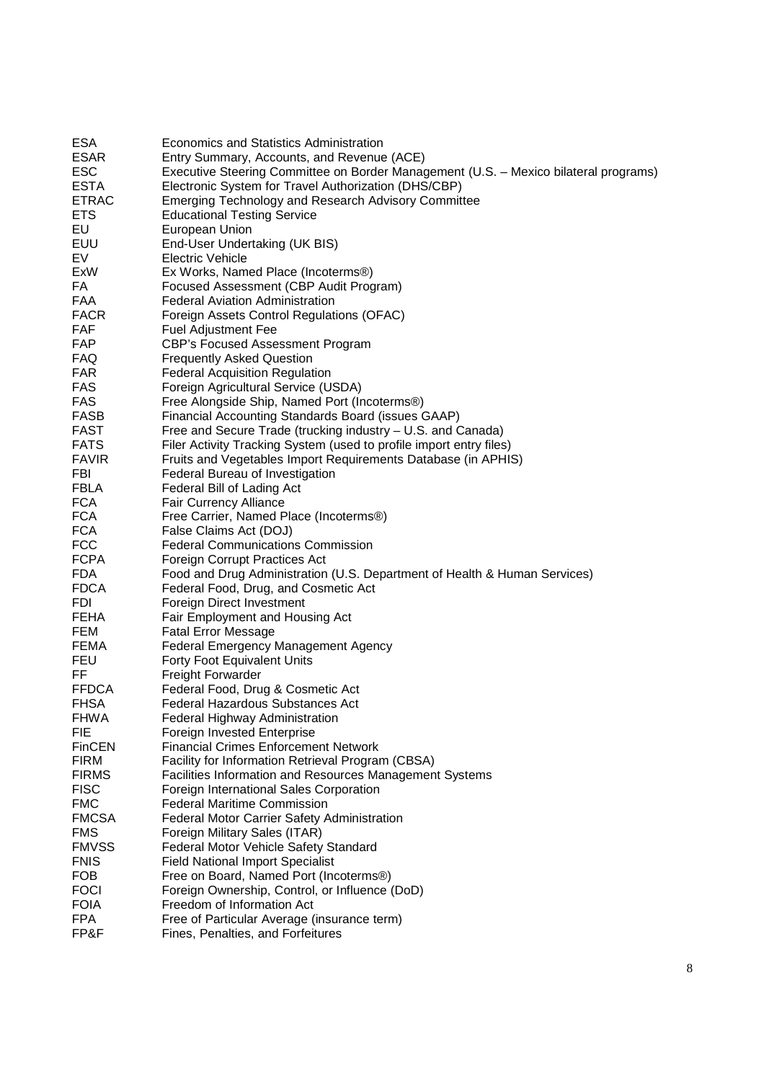| ESA           | Economics and Statistics Administration                                              |
|---------------|--------------------------------------------------------------------------------------|
| <b>ESAR</b>   | Entry Summary, Accounts, and Revenue (ACE)                                           |
| <b>ESC</b>    | Executive Steering Committee on Border Management (U.S. - Mexico bilateral programs) |
| <b>ESTA</b>   | Electronic System for Travel Authorization (DHS/CBP)                                 |
| <b>ETRAC</b>  | <b>Emerging Technology and Research Advisory Committee</b>                           |
| <b>ETS</b>    | <b>Educational Testing Service</b>                                                   |
| EU            | European Union                                                                       |
| <b>EUU</b>    | End-User Undertaking (UK BIS)                                                        |
| EV            | <b>Electric Vehicle</b>                                                              |
|               |                                                                                      |
| ExW           | Ex Works, Named Place (Incoterms®)                                                   |
| FA            | Focused Assessment (CBP Audit Program)                                               |
| FAA           | <b>Federal Aviation Administration</b>                                               |
| <b>FACR</b>   | Foreign Assets Control Regulations (OFAC)                                            |
| FAF           | <b>Fuel Adjustment Fee</b>                                                           |
| <b>FAP</b>    | CBP's Focused Assessment Program                                                     |
| <b>FAQ</b>    | <b>Frequently Asked Question</b>                                                     |
| <b>FAR</b>    | <b>Federal Acquisition Regulation</b>                                                |
| <b>FAS</b>    | Foreign Agricultural Service (USDA)                                                  |
| <b>FAS</b>    | Free Alongside Ship, Named Port (Incoterms®)                                         |
| <b>FASB</b>   | Financial Accounting Standards Board (issues GAAP)                                   |
| <b>FAST</b>   | Free and Secure Trade (trucking industry - U.S. and Canada)                          |
| <b>FATS</b>   | Filer Activity Tracking System (used to profile import entry files)                  |
| <b>FAVIR</b>  | Fruits and Vegetables Import Requirements Database (in APHIS)                        |
| FBI           | Federal Bureau of Investigation                                                      |
| FBLA          | Federal Bill of Lading Act                                                           |
| FCA           | <b>Fair Currency Alliance</b>                                                        |
| <b>FCA</b>    | Free Carrier, Named Place (Incoterms®)                                               |
| <b>FCA</b>    | False Claims Act (DOJ)                                                               |
| <b>FCC</b>    | <b>Federal Communications Commission</b>                                             |
| <b>FCPA</b>   | Foreign Corrupt Practices Act                                                        |
| <b>FDA</b>    | Food and Drug Administration (U.S. Department of Health & Human Services)            |
| <b>FDCA</b>   | Federal Food, Drug, and Cosmetic Act                                                 |
| FDI           | Foreign Direct Investment                                                            |
| <b>FEHA</b>   | Fair Employment and Housing Act                                                      |
| FEM           | <b>Fatal Error Message</b>                                                           |
| FEMA          |                                                                                      |
|               | Federal Emergency Management Agency                                                  |
| <b>FEU</b>    | Forty Foot Equivalent Units                                                          |
| FF.           | <b>Freight Forwarder</b>                                                             |
| <b>FFDCA</b>  | Federal Food, Drug & Cosmetic Act                                                    |
| <b>FHSA</b>   | Federal Hazardous Substances Act                                                     |
| <b>FHWA</b>   | Federal Highway Administration                                                       |
| FIE           | Foreign Invested Enterprise                                                          |
| <b>FinCEN</b> | <b>Financial Crimes Enforcement Network</b>                                          |
| <b>FIRM</b>   | Facility for Information Retrieval Program (CBSA)                                    |
| <b>FIRMS</b>  | Facilities Information and Resources Management Systems                              |
| <b>FISC</b>   | Foreign International Sales Corporation                                              |
| <b>FMC</b>    | <b>Federal Maritime Commission</b>                                                   |
| <b>FMCSA</b>  | Federal Motor Carrier Safety Administration                                          |
| <b>FMS</b>    | Foreign Military Sales (ITAR)                                                        |
| <b>FMVSS</b>  | Federal Motor Vehicle Safety Standard                                                |
| <b>FNIS</b>   | <b>Field National Import Specialist</b>                                              |
| <b>FOB</b>    | Free on Board, Named Port (Incoterms®)                                               |
| <b>FOCI</b>   | Foreign Ownership, Control, or Influence (DoD)                                       |
| <b>FOIA</b>   | Freedom of Information Act                                                           |
| <b>FPA</b>    | Free of Particular Average (insurance term)                                          |
| FP&F          | Fines, Penalties, and Forfeitures                                                    |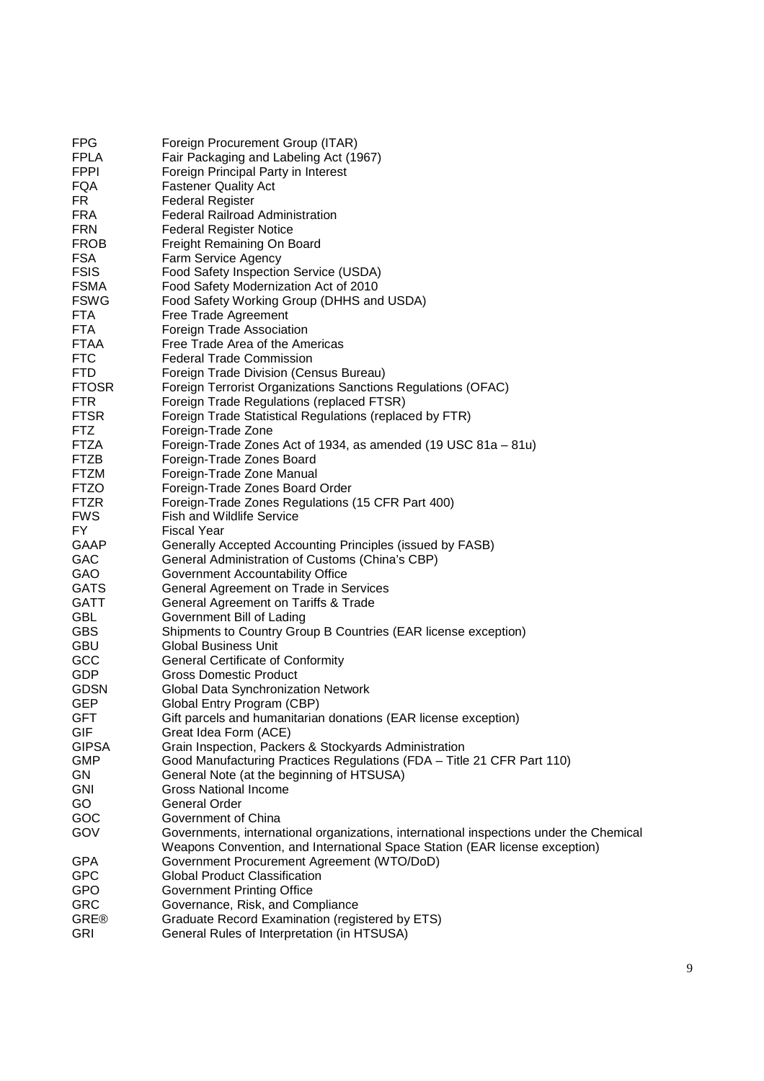| <b>FPG</b>   | Foreign Procurement Group (ITAR)                                                       |
|--------------|----------------------------------------------------------------------------------------|
| <b>FPLA</b>  | Fair Packaging and Labeling Act (1967)                                                 |
| <b>FPPI</b>  | Foreign Principal Party in Interest                                                    |
| FQA          | <b>Fastener Quality Act</b>                                                            |
| FR           | <b>Federal Register</b>                                                                |
| FRA          | Federal Railroad Administration                                                        |
| <b>FRN</b>   | <b>Federal Register Notice</b>                                                         |
| <b>FROB</b>  | Freight Remaining On Board                                                             |
| <b>FSA</b>   | Farm Service Agency                                                                    |
| <b>FSIS</b>  | Food Safety Inspection Service (USDA)                                                  |
| <b>FSMA</b>  | Food Safety Modernization Act of 2010                                                  |
| <b>FSWG</b>  | Food Safety Working Group (DHHS and USDA)                                              |
| <b>FTA</b>   | Free Trade Agreement                                                                   |
| <b>FTA</b>   | Foreign Trade Association                                                              |
| <b>FTAA</b>  | Free Trade Area of the Americas                                                        |
| <b>FTC</b>   | <b>Federal Trade Commission</b>                                                        |
| FTD          | Foreign Trade Division (Census Bureau)                                                 |
| <b>FTOSR</b> | Foreign Terrorist Organizations Sanctions Regulations (OFAC)                           |
| <b>FTR</b>   | Foreign Trade Regulations (replaced FTSR)                                              |
| <b>FTSR</b>  | Foreign Trade Statistical Regulations (replaced by FTR)                                |
| <b>FTZ</b>   | Foreign-Trade Zone                                                                     |
| FTZA         | Foreign-Trade Zones Act of 1934, as amended (19 USC 81a - 81u)                         |
| FTZB         | Foreign-Trade Zones Board                                                              |
| FTZM         | Foreign-Trade Zone Manual                                                              |
| <b>FTZO</b>  | Foreign-Trade Zones Board Order                                                        |
| <b>FTZR</b>  | Foreign-Trade Zones Regulations (15 CFR Part 400)                                      |
| <b>FWS</b>   | <b>Fish and Wildlife Service</b>                                                       |
| FY.          | <b>Fiscal Year</b>                                                                     |
| GAAP         | Generally Accepted Accounting Principles (issued by FASB)                              |
| GAC          | General Administration of Customs (China's CBP)                                        |
| <b>GAO</b>   | Government Accountability Office                                                       |
| <b>GATS</b>  | General Agreement on Trade in Services                                                 |
| GATT         | General Agreement on Tariffs & Trade                                                   |
| GBL          | Government Bill of Lading                                                              |
| <b>GBS</b>   | Shipments to Country Group B Countries (EAR license exception)                         |
| GBU          | <b>Global Business Unit</b>                                                            |
| GCC          | <b>General Certificate of Conformity</b>                                               |
| <b>GDP</b>   | <b>Gross Domestic Product</b>                                                          |
| <b>GDSN</b>  | Global Data Synchronization Network                                                    |
| <b>GEP</b>   | Global Entry Program (CBP)                                                             |
| GFT          | Gift parcels and humanitarian donations (EAR license exception)                        |
| <b>GIF</b>   | Great Idea Form (ACE)                                                                  |
| <b>GIPSA</b> | Grain Inspection, Packers & Stockyards Administration                                  |
| <b>GMP</b>   | Good Manufacturing Practices Regulations (FDA - Title 21 CFR Part 110)                 |
| GN           | General Note (at the beginning of HTSUSA)                                              |
| <b>GNI</b>   | <b>Gross National Income</b>                                                           |
| GO           | General Order                                                                          |
| GOC          | Government of China                                                                    |
| GOV          | Governments, international organizations, international inspections under the Chemical |
|              | Weapons Convention, and International Space Station (EAR license exception)            |
| <b>GPA</b>   | Government Procurement Agreement (WTO/DoD)                                             |
| <b>GPC</b>   | <b>Global Product Classification</b>                                                   |
| <b>GPO</b>   | <b>Government Printing Office</b>                                                      |
| <b>GRC</b>   | Governance, Risk, and Compliance                                                       |
| <b>GRE®</b>  | Graduate Record Examination (registered by ETS)                                        |
| GRI          | General Rules of Interpretation (in HTSUSA)                                            |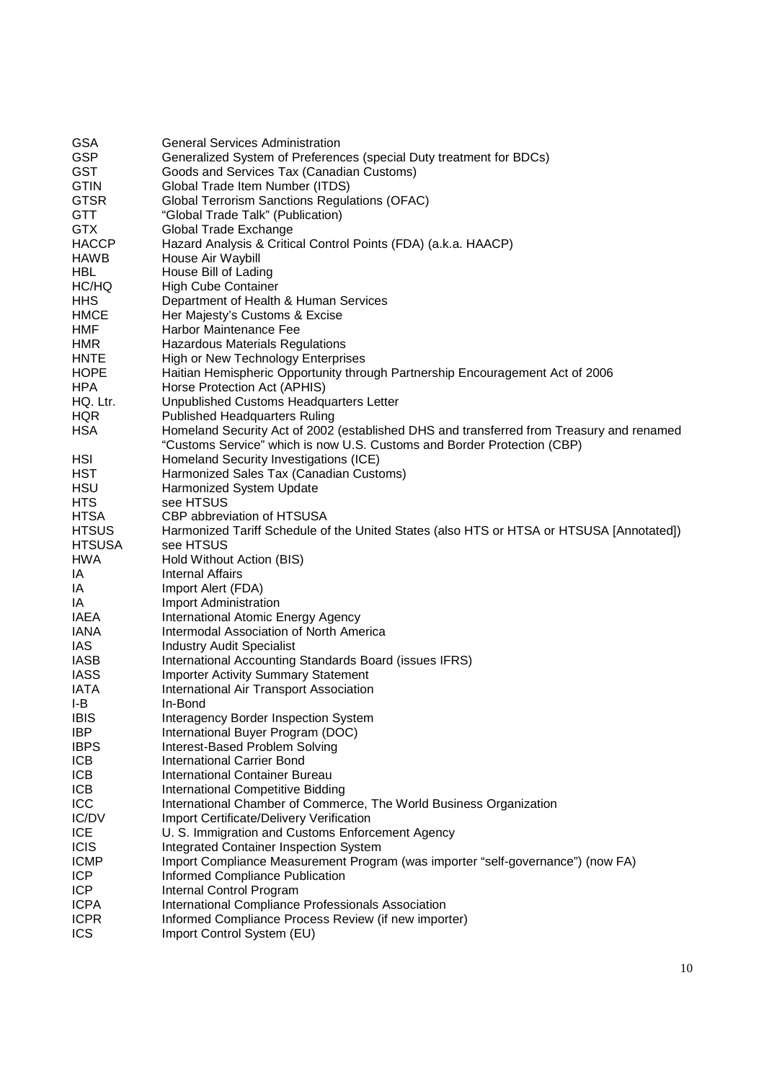| <b>GSA</b>    | <b>General Services Administration</b>                                                                                                                              |
|---------------|---------------------------------------------------------------------------------------------------------------------------------------------------------------------|
| <b>GSP</b>    | Generalized System of Preferences (special Duty treatment for BDCs)                                                                                                 |
| <b>GST</b>    | Goods and Services Tax (Canadian Customs)                                                                                                                           |
| <b>GTIN</b>   | Global Trade Item Number (ITDS)                                                                                                                                     |
| <b>GTSR</b>   | <b>Global Terrorism Sanctions Regulations (OFAC)</b>                                                                                                                |
| <b>GTT</b>    | "Global Trade Talk" (Publication)                                                                                                                                   |
| <b>GTX</b>    | Global Trade Exchange                                                                                                                                               |
| <b>HACCP</b>  | Hazard Analysis & Critical Control Points (FDA) (a.k.a. HAACP)                                                                                                      |
| <b>HAWB</b>   | House Air Waybill                                                                                                                                                   |
| <b>HBL</b>    | House Bill of Lading                                                                                                                                                |
| HC/HQ         | <b>High Cube Container</b>                                                                                                                                          |
| <b>HHS</b>    | Department of Health & Human Services                                                                                                                               |
| <b>HMCE</b>   | Her Majesty's Customs & Excise                                                                                                                                      |
| HMF           | Harbor Maintenance Fee                                                                                                                                              |
| <b>HMR</b>    | <b>Hazardous Materials Regulations</b>                                                                                                                              |
| <b>HNTE</b>   | <b>High or New Technology Enterprises</b>                                                                                                                           |
| <b>HOPE</b>   | Haitian Hemispheric Opportunity through Partnership Encouragement Act of 2006                                                                                       |
|               |                                                                                                                                                                     |
| <b>HPA</b>    | Horse Protection Act (APHIS)                                                                                                                                        |
| HQ. Ltr.      | Unpublished Customs Headquarters Letter                                                                                                                             |
| <b>HQR</b>    | <b>Published Headquarters Ruling</b>                                                                                                                                |
| <b>HSA</b>    | Homeland Security Act of 2002 (established DHS and transferred from Treasury and renamed<br>"Customs Service" which is now U.S. Customs and Border Protection (CBP) |
| <b>HSI</b>    | Homeland Security Investigations (ICE)                                                                                                                              |
| <b>HST</b>    | Harmonized Sales Tax (Canadian Customs)                                                                                                                             |
| <b>HSU</b>    | Harmonized System Update                                                                                                                                            |
| <b>HTS</b>    | see HTSUS                                                                                                                                                           |
| <b>HTSA</b>   | CBP abbreviation of HTSUSA                                                                                                                                          |
| <b>HTSUS</b>  | Harmonized Tariff Schedule of the United States (also HTS or HTSA or HTSUSA [Annotated])                                                                            |
| <b>HTSUSA</b> | see HTSUS                                                                                                                                                           |
| <b>HWA</b>    | Hold Without Action (BIS)                                                                                                                                           |
| IA            | <b>Internal Affairs</b>                                                                                                                                             |
| IA            | Import Alert (FDA)                                                                                                                                                  |
| IA            | Import Administration                                                                                                                                               |
| <b>IAEA</b>   | International Atomic Energy Agency                                                                                                                                  |
| <b>IANA</b>   | Intermodal Association of North America                                                                                                                             |
| IAS           | <b>Industry Audit Specialist</b>                                                                                                                                    |
| <b>IASB</b>   | International Accounting Standards Board (issues IFRS)                                                                                                              |
| <b>IASS</b>   | <b>Importer Activity Summary Statement</b>                                                                                                                          |
| <b>IATA</b>   | International Air Transport Association                                                                                                                             |
| $I - B$       | In-Bond                                                                                                                                                             |
| <b>IBIS</b>   | Interagency Border Inspection System                                                                                                                                |
| IBP           | International Buyer Program (DOC)                                                                                                                                   |
| <b>IBPS</b>   | Interest-Based Problem Solving                                                                                                                                      |
| <b>ICB</b>    | <b>International Carrier Bond</b>                                                                                                                                   |
| <b>ICB</b>    | <b>International Container Bureau</b>                                                                                                                               |
| <b>ICB</b>    | <b>International Competitive Bidding</b>                                                                                                                            |
| ICC           | International Chamber of Commerce, The World Business Organization                                                                                                  |
| IC/DV         | Import Certificate/Delivery Verification                                                                                                                            |
| <b>ICE</b>    | U. S. Immigration and Customs Enforcement Agency                                                                                                                    |
| <b>ICIS</b>   | Integrated Container Inspection System                                                                                                                              |
| <b>ICMP</b>   | Import Compliance Measurement Program (was importer "self-governance") (now FA)                                                                                     |
| <b>ICP</b>    | Informed Compliance Publication                                                                                                                                     |
| <b>ICP</b>    | Internal Control Program                                                                                                                                            |
| <b>ICPA</b>   | International Compliance Professionals Association                                                                                                                  |
| <b>ICPR</b>   | Informed Compliance Process Review (if new importer)                                                                                                                |
| <b>ICS</b>    |                                                                                                                                                                     |
|               | Import Control System (EU)                                                                                                                                          |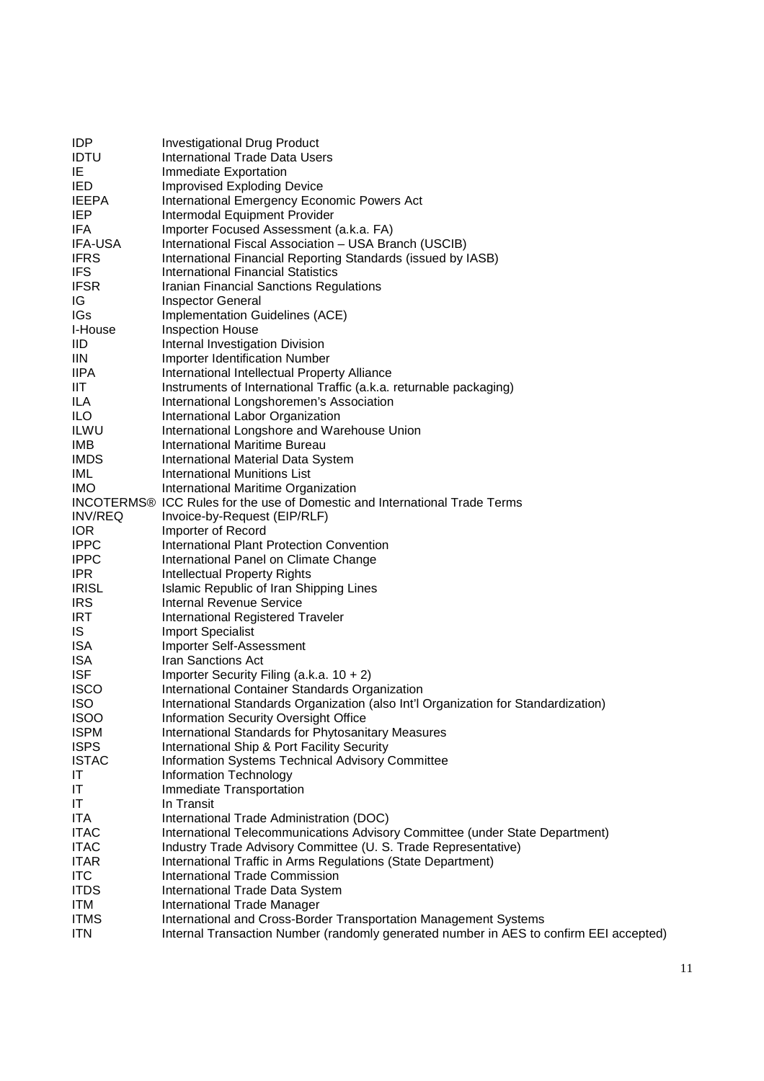| IDP                        | <b>Investigational Drug Product</b>                                                    |
|----------------------------|----------------------------------------------------------------------------------------|
| <b>IDTU</b>                | International Trade Data Users                                                         |
| IE                         | Immediate Exportation                                                                  |
| IED                        | <b>Improvised Exploding Device</b>                                                     |
| <b>IEEPA</b>               | International Emergency Economic Powers Act                                            |
| IEP                        | Intermodal Equipment Provider                                                          |
| IFA                        | Importer Focused Assessment (a.k.a. FA)                                                |
| <b>IFA-USA</b>             | International Fiscal Association - USA Branch (USCIB)                                  |
| <b>IFRS</b>                | International Financial Reporting Standards (issued by IASB)                           |
| <b>IFS</b>                 | <b>International Financial Statistics</b>                                              |
| <b>IFSR</b>                | <b>Iranian Financial Sanctions Regulations</b>                                         |
| IG                         | <b>Inspector General</b>                                                               |
| IGs                        | Implementation Guidelines (ACE)                                                        |
| I-House                    | <b>Inspection House</b>                                                                |
| IID.                       | Internal Investigation Division                                                        |
| <b>IIN</b>                 | <b>Importer Identification Number</b>                                                  |
| <b>IIPA</b>                | International Intellectual Property Alliance                                           |
| ШT                         | Instruments of International Traffic (a.k.a. returnable packaging)                     |
| ILA                        | International Longshoremen's Association                                               |
| ILO                        | International Labor Organization                                                       |
| ILWU                       | International Longshore and Warehouse Union                                            |
| IMB                        | International Maritime Bureau                                                          |
| <b>IMDS</b>                | International Material Data System                                                     |
| IML                        | International Munitions List                                                           |
| <b>IMO</b>                 | International Maritime Organization                                                    |
|                            | INCOTERMS® ICC Rules for the use of Domestic and International Trade Terms             |
| <b>INV/REQ</b>             | Invoice-by-Request (EIP/RLF)                                                           |
| <b>IOR</b>                 | Importer of Record                                                                     |
| <b>IPPC</b>                | International Plant Protection Convention                                              |
| <b>IPPC</b>                | International Panel on Climate Change                                                  |
| <b>IPR</b>                 | <b>Intellectual Property Rights</b>                                                    |
| <b>IRISL</b>               | Islamic Republic of Iran Shipping Lines                                                |
| <b>IRS</b>                 | <b>Internal Revenue Service</b>                                                        |
| <b>IRT</b>                 | <b>International Registered Traveler</b>                                               |
| IS                         | <b>Import Specialist</b>                                                               |
| <b>ISA</b>                 | Importer Self-Assessment                                                               |
| <b>ISA</b>                 | <b>Iran Sanctions Act</b>                                                              |
| <b>ISF</b>                 | Importer Security Filing (a.k.a. $10 + 2$ )                                            |
| <b>ISCO</b>                | International Container Standards Organization                                         |
| <b>ISO</b>                 | International Standards Organization (also Int'l Organization for Standardization)     |
| <b>ISOO</b>                | Information Security Oversight Office                                                  |
| <b>ISPM</b><br><b>ISPS</b> | <b>International Standards for Phytosanitary Measures</b>                              |
| <b>ISTAC</b>               | International Ship & Port Facility Security                                            |
| ΙT                         | Information Systems Technical Advisory Committee<br>Information Technology             |
| IT                         |                                                                                        |
| ΙT                         | Immediate Transportation<br>In Transit                                                 |
| <b>ITA</b>                 | International Trade Administration (DOC)                                               |
| <b>ITAC</b>                | International Telecommunications Advisory Committee (under State Department)           |
| <b>ITAC</b>                | Industry Trade Advisory Committee (U. S. Trade Representative)                         |
| <b>ITAR</b>                | International Traffic in Arms Regulations (State Department)                           |
| <b>ITC</b>                 | <b>International Trade Commission</b>                                                  |
| <b>ITDS</b>                | International Trade Data System                                                        |
| ITM                        | <b>International Trade Manager</b>                                                     |
| <b>ITMS</b>                | International and Cross-Border Transportation Management Systems                       |
| ITN                        | Internal Transaction Number (randomly generated number in AES to confirm EEI accepted) |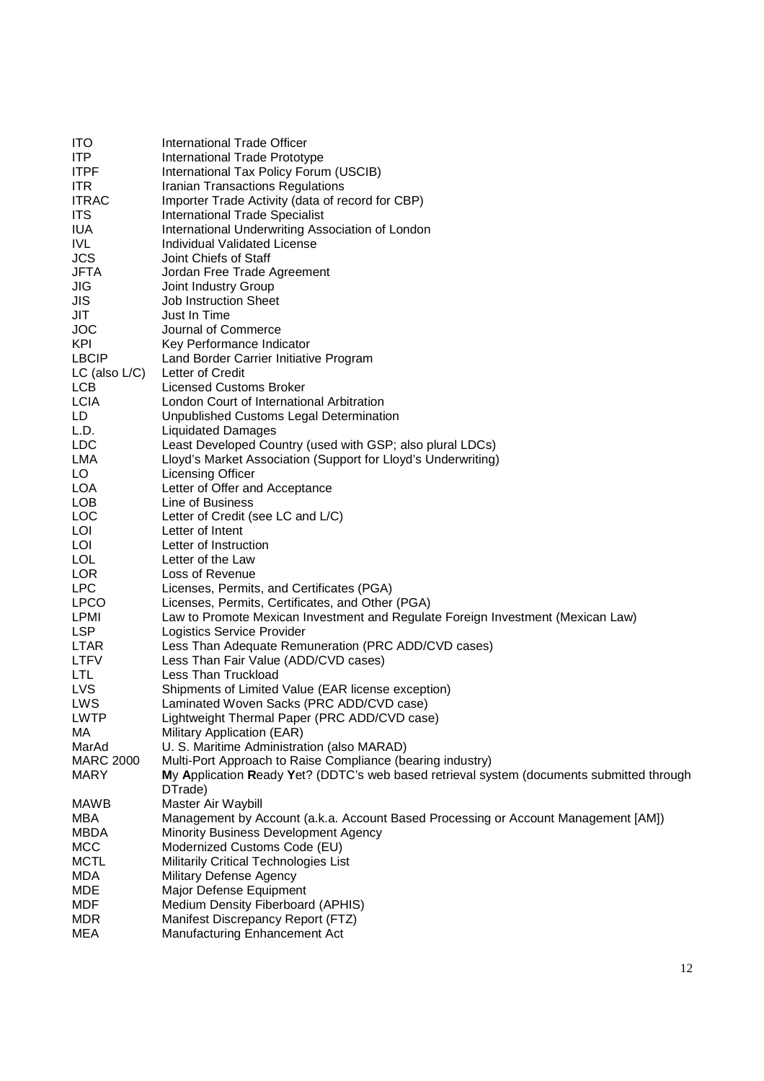| <b>ITO</b><br><b>ITP</b><br><b>ITPF</b> | International Trade Officer<br>International Trade Prototype<br>International Tax Policy Forum (USCIB) |
|-----------------------------------------|--------------------------------------------------------------------------------------------------------|
| <b>ITR</b>                              | Iranian Transactions Regulations                                                                       |
| <b>ITRAC</b>                            | Importer Trade Activity (data of record for CBP)                                                       |
| <b>ITS</b>                              | <b>International Trade Specialist</b>                                                                  |
| <b>IUA</b>                              | International Underwriting Association of London                                                       |
| IVL                                     | Individual Validated License                                                                           |
| <b>JCS</b>                              | Joint Chiefs of Staff                                                                                  |
| JFTA<br>JIG                             | Jordan Free Trade Agreement<br>Joint Industry Group                                                    |
| JIS                                     | <b>Job Instruction Sheet</b>                                                                           |
| JIT                                     | Just In Time                                                                                           |
| <b>JOC</b>                              | Journal of Commerce                                                                                    |
| <b>KPI</b>                              | Key Performance Indicator                                                                              |
| <b>LBCIP</b>                            | Land Border Carrier Initiative Program                                                                 |
| $LC$ (also $L/C$ )                      | Letter of Credit                                                                                       |
| <b>LCB</b>                              | <b>Licensed Customs Broker</b>                                                                         |
| <b>LCIA</b>                             | London Court of International Arbitration                                                              |
| LD.                                     | Unpublished Customs Legal Determination                                                                |
| L.D.                                    | <b>Liquidated Damages</b>                                                                              |
| <b>LDC</b>                              | Least Developed Country (used with GSP; also plural LDCs)                                              |
| LMA                                     | Lloyd's Market Association (Support for Lloyd's Underwriting)                                          |
| LO                                      | <b>Licensing Officer</b>                                                                               |
| LOA                                     | Letter of Offer and Acceptance                                                                         |
| <b>LOB</b>                              | Line of Business                                                                                       |
| <b>LOC</b>                              | Letter of Credit (see LC and L/C)                                                                      |
| LOI                                     | Letter of Intent                                                                                       |
| LOI                                     | Letter of Instruction                                                                                  |
| <b>LOL</b><br><b>LOR</b>                | Letter of the Law<br>Loss of Revenue                                                                   |
| <b>LPC</b>                              | Licenses, Permits, and Certificates (PGA)                                                              |
| <b>LPCO</b>                             | Licenses, Permits, Certificates, and Other (PGA)                                                       |
| LPMI                                    | Law to Promote Mexican Investment and Regulate Foreign Investment (Mexican Law)                        |
| <b>LSP</b>                              | Logistics Service Provider                                                                             |
| LTAR                                    | Less Than Adequate Remuneration (PRC ADD/CVD cases)                                                    |
| <b>LTFV</b>                             | Less Than Fair Value (ADD/CVD cases)                                                                   |
| <b>LTL</b>                              | Less Than Truckload                                                                                    |
| <b>LVS</b>                              | Shipments of Limited Value (EAR license exception)                                                     |
| LWS                                     | Laminated Woven Sacks (PRC ADD/CVD case)                                                               |
| LWTP                                    | Lightweight Thermal Paper (PRC ADD/CVD case)                                                           |
| MA                                      | Military Application (EAR)                                                                             |
| MarAd                                   | U. S. Maritime Administration (also MARAD)                                                             |
| <b>MARC 2000</b>                        | Multi-Port Approach to Raise Compliance (bearing industry)                                             |
| <b>MARY</b>                             | My Application Ready Yet? (DDTC's web based retrieval system (documents submitted through              |
|                                         | DTrade)                                                                                                |
| <b>MAWB</b>                             | Master Air Waybill                                                                                     |
| MBA                                     | Management by Account (a.k.a. Account Based Processing or Account Management [AM])                     |
| <b>MBDA</b><br><b>MCC</b>               | Minority Business Development Agency<br>Modernized Customs Code (EU)                                   |
| <b>MCTL</b>                             | Militarily Critical Technologies List                                                                  |
| MDA                                     | Military Defense Agency                                                                                |
| <b>MDE</b>                              | Major Defense Equipment                                                                                |
| <b>MDF</b>                              | Medium Density Fiberboard (APHIS)                                                                      |
| <b>MDR</b>                              | Manifest Discrepancy Report (FTZ)                                                                      |
| <b>MEA</b>                              | Manufacturing Enhancement Act                                                                          |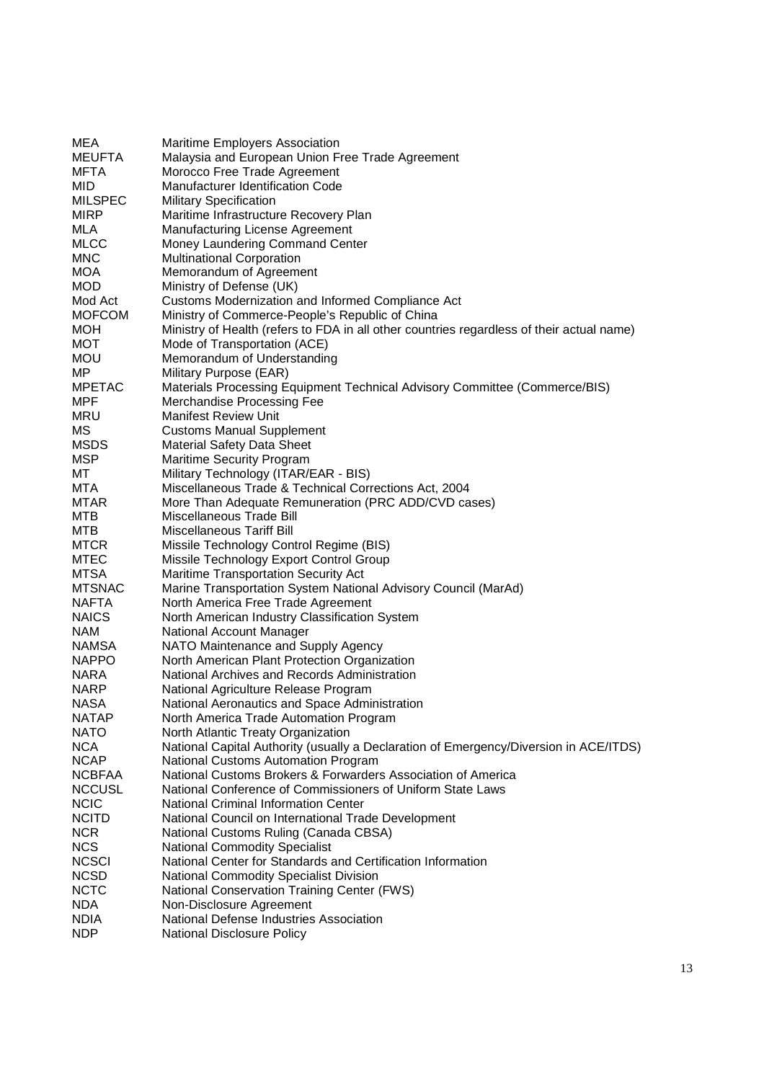| MEA              | Maritime Employers Association                                                            |  |  |
|------------------|-------------------------------------------------------------------------------------------|--|--|
| <b>MEUFTA</b>    | Malaysia and European Union Free Trade Agreement                                          |  |  |
| <b>MFTA</b>      | Morocco Free Trade Agreement                                                              |  |  |
| MID              | Manufacturer Identification Code                                                          |  |  |
| <b>MILSPEC</b>   | <b>Military Specification</b>                                                             |  |  |
| <b>MIRP</b>      | Maritime Infrastructure Recovery Plan                                                     |  |  |
| MLA              | Manufacturing License Agreement                                                           |  |  |
| <b>MLCC</b>      | Money Laundering Command Center                                                           |  |  |
| <b>MNC</b>       | <b>Multinational Corporation</b>                                                          |  |  |
| <b>MOA</b>       | Memorandum of Agreement                                                                   |  |  |
| <b>MOD</b>       | Ministry of Defense (UK)                                                                  |  |  |
| Mod Act          | Customs Modernization and Informed Compliance Act                                         |  |  |
| <b>MOFCOM</b>    | Ministry of Commerce-People's Republic of China                                           |  |  |
| <b>MOH</b>       | Ministry of Health (refers to FDA in all other countries regardless of their actual name) |  |  |
| MOT              | Mode of Transportation (ACE)                                                              |  |  |
| MOU              | Memorandum of Understanding                                                               |  |  |
| МP               | Military Purpose (EAR)                                                                    |  |  |
| <b>MPETAC</b>    |                                                                                           |  |  |
|                  | Materials Processing Equipment Technical Advisory Committee (Commerce/BIS)                |  |  |
| <b>MPF</b>       | Merchandise Processing Fee                                                                |  |  |
| <b>MRU</b>       | <b>Manifest Review Unit</b>                                                               |  |  |
| MS               | <b>Customs Manual Supplement</b>                                                          |  |  |
| <b>MSDS</b>      | <b>Material Safety Data Sheet</b>                                                         |  |  |
| <b>MSP</b>       | Maritime Security Program                                                                 |  |  |
| МT<br><b>MTA</b> | Military Technology (ITAR/EAR - BIS)                                                      |  |  |
|                  | Miscellaneous Trade & Technical Corrections Act, 2004                                     |  |  |
| <b>MTAR</b>      | More Than Adequate Remuneration (PRC ADD/CVD cases)                                       |  |  |
| MTB              | Miscellaneous Trade Bill                                                                  |  |  |
| MTB              | Miscellaneous Tariff Bill                                                                 |  |  |
| <b>MTCR</b>      | Missile Technology Control Regime (BIS)                                                   |  |  |
| <b>MTEC</b>      | Missile Technology Export Control Group                                                   |  |  |
| <b>MTSA</b>      | Maritime Transportation Security Act                                                      |  |  |
| <b>MTSNAC</b>    | Marine Transportation System National Advisory Council (MarAd)                            |  |  |
| <b>NAFTA</b>     | North America Free Trade Agreement                                                        |  |  |
| <b>NAICS</b>     | North American Industry Classification System                                             |  |  |
| <b>NAM</b>       | National Account Manager                                                                  |  |  |
| <b>NAMSA</b>     | NATO Maintenance and Supply Agency                                                        |  |  |
| <b>NAPPO</b>     | North American Plant Protection Organization                                              |  |  |
| <b>NARA</b>      | National Archives and Records Administration                                              |  |  |
| <b>NARP</b>      | National Agriculture Release Program                                                      |  |  |
| <b>NASA</b>      | National Aeronautics and Space Administration                                             |  |  |
| <b>NATAP</b>     | North America Trade Automation Program                                                    |  |  |
| <b>NATO</b>      | North Atlantic Treaty Organization                                                        |  |  |
| <b>NCA</b>       | National Capital Authority (usually a Declaration of Emergency/Diversion in ACE/ITDS)     |  |  |
| <b>NCAP</b>      | <b>National Customs Automation Program</b>                                                |  |  |
| <b>NCBFAA</b>    | National Customs Brokers & Forwarders Association of America                              |  |  |
| <b>NCCUSL</b>    | National Conference of Commissioners of Uniform State Laws                                |  |  |
| <b>NCIC</b>      | <b>National Criminal Information Center</b>                                               |  |  |
| <b>NCITD</b>     | National Council on International Trade Development                                       |  |  |
| <b>NCR</b>       | National Customs Ruling (Canada CBSA)                                                     |  |  |
| <b>NCS</b>       | <b>National Commodity Specialist</b>                                                      |  |  |
| <b>NCSCI</b>     | National Center for Standards and Certification Information                               |  |  |
| <b>NCSD</b>      | <b>National Commodity Specialist Division</b>                                             |  |  |
| <b>NCTC</b>      | National Conservation Training Center (FWS)                                               |  |  |
| <b>NDA</b>       | Non-Disclosure Agreement                                                                  |  |  |
| <b>NDIA</b>      | National Defense Industries Association                                                   |  |  |
| <b>NDP</b>       | National Disclosure Policy                                                                |  |  |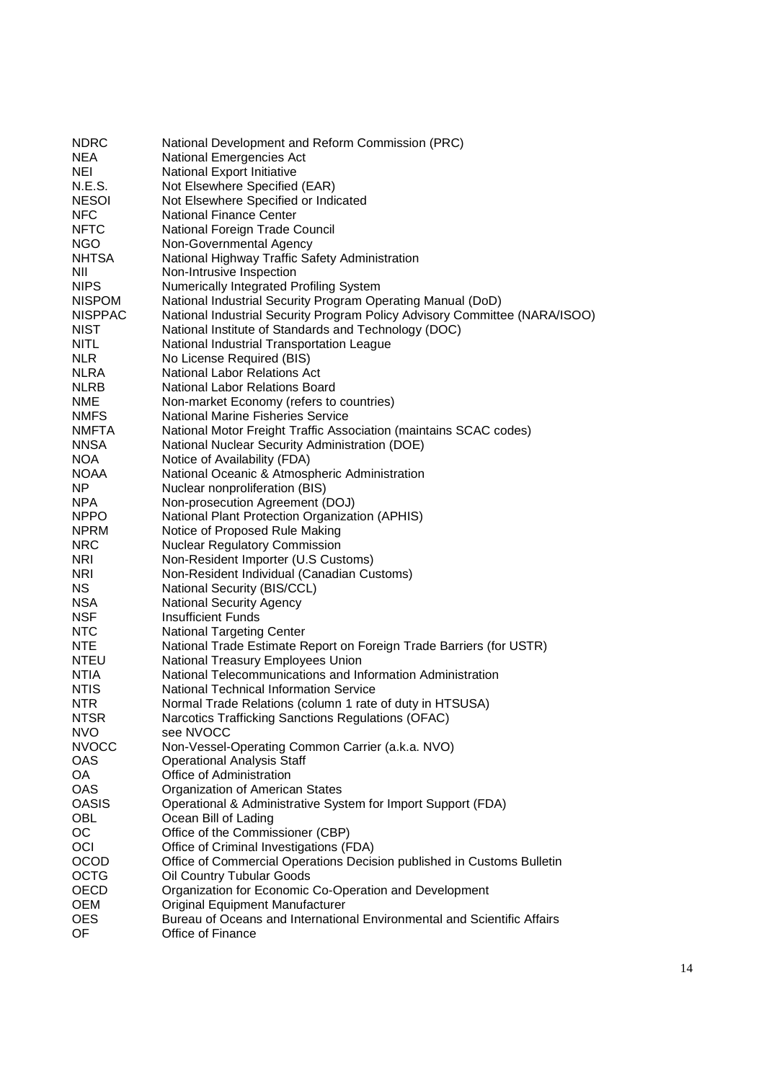| <b>NDRC</b>    | National Development and Reform Commission (PRC)                           |  |  |  |
|----------------|----------------------------------------------------------------------------|--|--|--|
| <b>NEA</b>     | National Emergencies Act                                                   |  |  |  |
| NEI            | National Export Initiative                                                 |  |  |  |
| <b>N.E.S.</b>  | Not Elsewhere Specified (EAR)                                              |  |  |  |
| <b>NESOI</b>   | Not Elsewhere Specified or Indicated                                       |  |  |  |
| <b>NFC</b>     | <b>National Finance Center</b>                                             |  |  |  |
| <b>NFTC</b>    | National Foreign Trade Council                                             |  |  |  |
| NGO            | Non-Governmental Agency                                                    |  |  |  |
| <b>NHTSA</b>   | National Highway Traffic Safety Administration                             |  |  |  |
| NII            | Non-Intrusive Inspection                                                   |  |  |  |
| <b>NIPS</b>    | Numerically Integrated Profiling System                                    |  |  |  |
| <b>NISPOM</b>  | National Industrial Security Program Operating Manual (DoD)                |  |  |  |
| <b>NISPPAC</b> | National Industrial Security Program Policy Advisory Committee (NARA/ISOO) |  |  |  |
| <b>NIST</b>    | National Institute of Standards and Technology (DOC)                       |  |  |  |
| NITL           | National Industrial Transportation League                                  |  |  |  |
| <b>NLR</b>     | No License Required (BIS)                                                  |  |  |  |
| <b>NLRA</b>    | National Labor Relations Act                                               |  |  |  |
| <b>NLRB</b>    | National Labor Relations Board                                             |  |  |  |
| NME            | Non-market Economy (refers to countries)                                   |  |  |  |
| <b>NMFS</b>    | <b>National Marine Fisheries Service</b>                                   |  |  |  |
| <b>NMFTA</b>   | National Motor Freight Traffic Association (maintains SCAC codes)          |  |  |  |
| <b>NNSA</b>    | National Nuclear Security Administration (DOE)                             |  |  |  |
| NOA            | Notice of Availability (FDA)                                               |  |  |  |
| NOAA           | National Oceanic & Atmospheric Administration                              |  |  |  |
| NP.            | Nuclear nonproliferation (BIS)                                             |  |  |  |
| NPA            | Non-prosecution Agreement (DOJ)                                            |  |  |  |
| <b>NPPO</b>    | National Plant Protection Organization (APHIS)                             |  |  |  |
| <b>NPRM</b>    | Notice of Proposed Rule Making                                             |  |  |  |
| <b>NRC</b>     | <b>Nuclear Regulatory Commission</b>                                       |  |  |  |
| NRI            | Non-Resident Importer (U.S Customs)                                        |  |  |  |
| NRI            | Non-Resident Individual (Canadian Customs)                                 |  |  |  |
| NS.            | National Security (BIS/CCL)                                                |  |  |  |
| NSA            | <b>National Security Agency</b>                                            |  |  |  |
| <b>NSF</b>     | <b>Insufficient Funds</b>                                                  |  |  |  |
| NTC            | <b>National Targeting Center</b>                                           |  |  |  |
| <b>NTE</b>     | National Trade Estimate Report on Foreign Trade Barriers (for USTR)        |  |  |  |
| NTEU           | National Treasury Employees Union                                          |  |  |  |
| <b>NTIA</b>    | National Telecommunications and Information Administration                 |  |  |  |
| <b>NTIS</b>    | <b>National Technical Information Service</b>                              |  |  |  |
| <b>NTR</b>     | Normal Trade Relations (column 1 rate of duty in HTSUSA)                   |  |  |  |
| <b>NTSR</b>    | Narcotics Trafficking Sanctions Regulations (OFAC)                         |  |  |  |
| <b>NVO</b>     | see NVOCC                                                                  |  |  |  |
| <b>NVOCC</b>   | Non-Vessel-Operating Common Carrier (a.k.a. NVO)                           |  |  |  |
| OAS            | <b>Operational Analysis Staff</b>                                          |  |  |  |
| OA             | Office of Administration                                                   |  |  |  |
| OAS            | Organization of American States                                            |  |  |  |
| <b>OASIS</b>   | Operational & Administrative System for Import Support (FDA)               |  |  |  |
| OBL            | Ocean Bill of Lading                                                       |  |  |  |
| OC             | Office of the Commissioner (CBP)                                           |  |  |  |
| OCI            | Office of Criminal Investigations (FDA)                                    |  |  |  |
| <b>OCOD</b>    | Office of Commercial Operations Decision published in Customs Bulletin     |  |  |  |
| <b>OCTG</b>    | Oil Country Tubular Goods                                                  |  |  |  |
| OECD           | Organization for Economic Co-Operation and Development                     |  |  |  |
| <b>OEM</b>     | Original Equipment Manufacturer                                            |  |  |  |
| <b>OES</b>     | Bureau of Oceans and International Environmental and Scientific Affairs    |  |  |  |
| OF             | Office of Finance                                                          |  |  |  |
|                |                                                                            |  |  |  |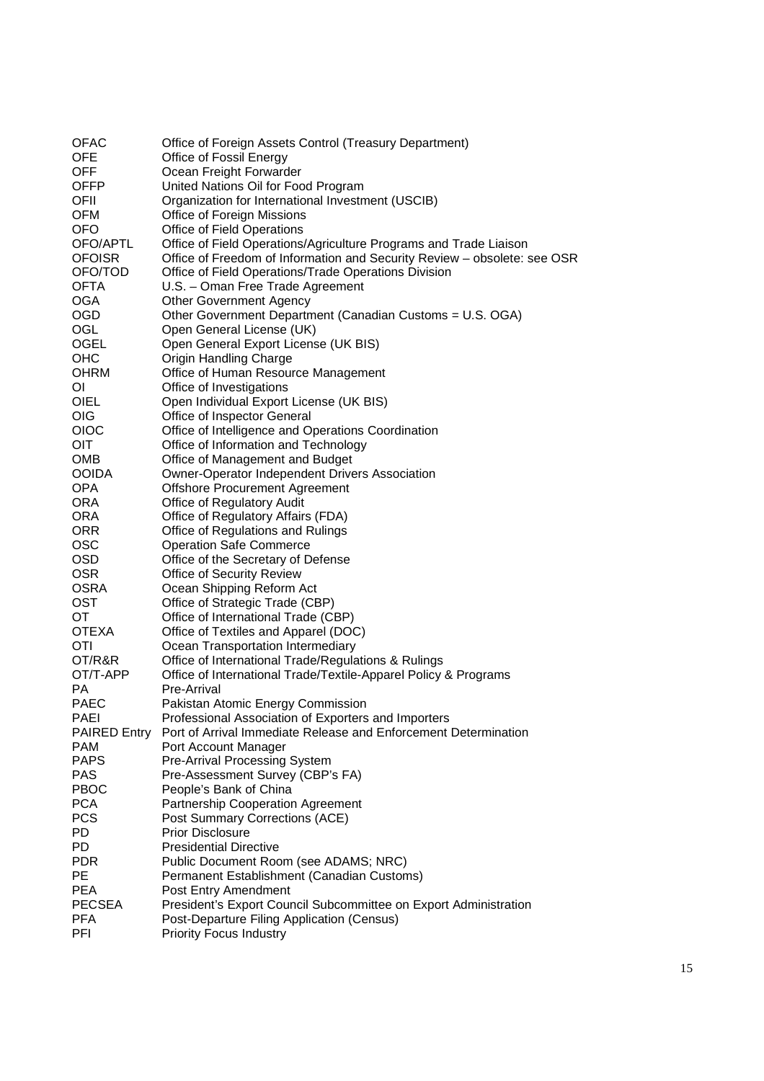| <b>OFAC</b>         | Office of Foreign Assets Control (Treasury Department)                   |
|---------------------|--------------------------------------------------------------------------|
| <b>OFE</b>          | Office of Fossil Energy                                                  |
| <b>OFF</b>          | Ocean Freight Forwarder                                                  |
| <b>OFFP</b>         | United Nations Oil for Food Program                                      |
| OFII                | Organization for International Investment (USCIB)                        |
| <b>OFM</b>          | Office of Foreign Missions                                               |
| <b>OFO</b>          | Office of Field Operations                                               |
| OFO/APTL            | Office of Field Operations/Agriculture Programs and Trade Liaison        |
| <b>OFOISR</b>       | Office of Freedom of Information and Security Review - obsolete: see OSR |
|                     | Office of Field Operations/Trade Operations Division                     |
| OFO/TOD             |                                                                          |
| <b>OFTA</b>         | U.S. - Oman Free Trade Agreement                                         |
| <b>OGA</b>          | <b>Other Government Agency</b>                                           |
| <b>OGD</b>          | Other Government Department (Canadian Customs = U.S. OGA)                |
| OGL                 | Open General License (UK)                                                |
| <b>OGEL</b>         | Open General Export License (UK BIS)                                     |
| OHC                 | Origin Handling Charge                                                   |
| <b>OHRM</b>         | Office of Human Resource Management                                      |
| $\overline{O}$      | Office of Investigations                                                 |
| <b>OIEL</b>         | Open Individual Export License (UK BIS)                                  |
| <b>OIG</b>          | Office of Inspector General                                              |
| <b>OIOC</b>         | Office of Intelligence and Operations Coordination                       |
| OIT                 | Office of Information and Technology                                     |
| <b>OMB</b>          | Office of Management and Budget                                          |
| <b>OOIDA</b>        | Owner-Operator Independent Drivers Association                           |
| <b>OPA</b>          | Offshore Procurement Agreement                                           |
| <b>ORA</b>          | Office of Regulatory Audit                                               |
| <b>ORA</b>          | Office of Regulatory Affairs (FDA)                                       |
| <b>ORR</b>          | Office of Regulations and Rulings                                        |
| <b>OSC</b>          | <b>Operation Safe Commerce</b>                                           |
| OSD                 | Office of the Secretary of Defense                                       |
| <b>OSR</b>          | Office of Security Review                                                |
| <b>OSRA</b>         | Ocean Shipping Reform Act                                                |
| <b>OST</b>          | Office of Strategic Trade (CBP)                                          |
| OT.                 | Office of International Trade (CBP)                                      |
| <b>OTEXA</b>        | Office of Textiles and Apparel (DOC)                                     |
|                     |                                                                          |
| OTI                 | Ocean Transportation Intermediary                                        |
| OT/R&R              | Office of International Trade/Regulations & Rulings                      |
| OT/T-APP            | Office of International Trade/Textile-Apparel Policy & Programs          |
| PA                  | <b>Pre-Arrival</b>                                                       |
| <b>PAEC</b>         | Pakistan Atomic Energy Commission                                        |
| PAEI                | Professional Association of Exporters and Importers                      |
| <b>PAIRED Entry</b> | Port of Arrival Immediate Release and Enforcement Determination          |
| <b>PAM</b>          | Port Account Manager                                                     |
| <b>PAPS</b>         | Pre-Arrival Processing System                                            |
| <b>PAS</b>          | Pre-Assessment Survey (CBP's FA)                                         |
| <b>PBOC</b>         | People's Bank of China                                                   |
| <b>PCA</b>          | Partnership Cooperation Agreement                                        |
| <b>PCS</b>          | Post Summary Corrections (ACE)                                           |
| <b>PD</b>           | <b>Prior Disclosure</b>                                                  |
| PD                  | <b>Presidential Directive</b>                                            |
| <b>PDR</b>          | Public Document Room (see ADAMS; NRC)                                    |
| PE                  | Permanent Establishment (Canadian Customs)                               |
| <b>PEA</b>          | Post Entry Amendment                                                     |
| <b>PECSEA</b>       | President's Export Council Subcommittee on Export Administration         |
| <b>PFA</b>          | Post-Departure Filing Application (Census)                               |
| PFI                 | <b>Priority Focus Industry</b>                                           |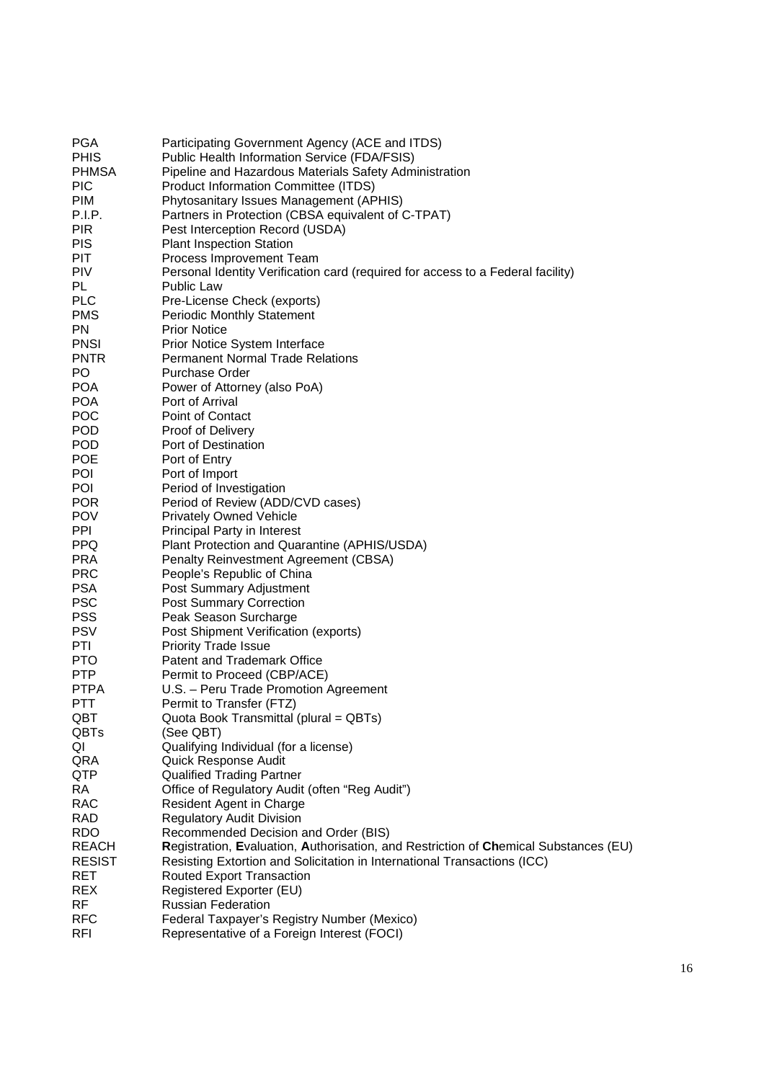| <b>PGA</b>    | Participating Government Agency (ACE and ITDS)                                       |  |  |
|---------------|--------------------------------------------------------------------------------------|--|--|
| <b>PHIS</b>   | Public Health Information Service (FDA/FSIS)                                         |  |  |
| <b>PHMSA</b>  | Pipeline and Hazardous Materials Safety Administration                               |  |  |
| <b>PIC</b>    | Product Information Committee (ITDS)                                                 |  |  |
| <b>PIM</b>    | Phytosanitary Issues Management (APHIS)                                              |  |  |
| P.I.P.        | Partners in Protection (CBSA equivalent of C-TPAT)                                   |  |  |
| <b>PIR</b>    | Pest Interception Record (USDA)                                                      |  |  |
| <b>PIS</b>    | <b>Plant Inspection Station</b>                                                      |  |  |
| PIT           | Process Improvement Team                                                             |  |  |
| <b>PIV</b>    | Personal Identity Verification card (required for access to a Federal facility)      |  |  |
|               | Public Law                                                                           |  |  |
| PL.           |                                                                                      |  |  |
| <b>PLC</b>    | Pre-License Check (exports)                                                          |  |  |
| <b>PMS</b>    | <b>Periodic Monthly Statement</b>                                                    |  |  |
| <b>PN</b>     | <b>Prior Notice</b>                                                                  |  |  |
| <b>PNSI</b>   | Prior Notice System Interface                                                        |  |  |
| <b>PNTR</b>   | <b>Permanent Normal Trade Relations</b>                                              |  |  |
| PO.           | <b>Purchase Order</b>                                                                |  |  |
| <b>POA</b>    | Power of Attorney (also PoA)                                                         |  |  |
| <b>POA</b>    | Port of Arrival                                                                      |  |  |
| <b>POC</b>    | Point of Contact                                                                     |  |  |
| POD           | Proof of Delivery                                                                    |  |  |
| POD           | Port of Destination                                                                  |  |  |
| <b>POE</b>    | Port of Entry                                                                        |  |  |
| <b>POI</b>    | Port of Import                                                                       |  |  |
| <b>POI</b>    | Period of Investigation                                                              |  |  |
| <b>POR</b>    | Period of Review (ADD/CVD cases)                                                     |  |  |
| <b>POV</b>    | <b>Privately Owned Vehicle</b>                                                       |  |  |
| <b>PPI</b>    | <b>Principal Party in Interest</b>                                                   |  |  |
| PPQ           | Plant Protection and Quarantine (APHIS/USDA)                                         |  |  |
| <b>PRA</b>    | Penalty Reinvestment Agreement (CBSA)                                                |  |  |
| <b>PRC</b>    | People's Republic of China                                                           |  |  |
| <b>PSA</b>    | Post Summary Adjustment                                                              |  |  |
| <b>PSC</b>    | <b>Post Summary Correction</b>                                                       |  |  |
| <b>PSS</b>    | Peak Season Surcharge                                                                |  |  |
| <b>PSV</b>    | Post Shipment Verification (exports)                                                 |  |  |
| PTI           | <b>Priority Trade Issue</b>                                                          |  |  |
| <b>PTO</b>    | Patent and Trademark Office                                                          |  |  |
| PTP           | Permit to Proceed (CBP/ACE)                                                          |  |  |
| <b>PTPA</b>   | U.S. - Peru Trade Promotion Agreement                                                |  |  |
| <b>PTT</b>    |                                                                                      |  |  |
|               | Permit to Transfer (FTZ)                                                             |  |  |
| QBT<br>QBTs   | Quota Book Transmittal (plural = QBTs)<br>(See QBT)                                  |  |  |
|               |                                                                                      |  |  |
| QI            | Qualifying Individual (for a license)                                                |  |  |
| QRA           | Quick Response Audit                                                                 |  |  |
| QTP           | <b>Qualified Trading Partner</b>                                                     |  |  |
| RA            | Office of Regulatory Audit (often "Reg Audit")                                       |  |  |
| <b>RAC</b>    | Resident Agent in Charge                                                             |  |  |
| <b>RAD</b>    | <b>Regulatory Audit Division</b>                                                     |  |  |
| <b>RDO</b>    | Recommended Decision and Order (BIS)                                                 |  |  |
| <b>REACH</b>  | Registration, Evaluation, Authorisation, and Restriction of Chemical Substances (EU) |  |  |
| <b>RESIST</b> | Resisting Extortion and Solicitation in International Transactions (ICC)             |  |  |
| <b>RET</b>    | <b>Routed Export Transaction</b>                                                     |  |  |
| <b>REX</b>    | Registered Exporter (EU)                                                             |  |  |
| RF.           | <b>Russian Federation</b>                                                            |  |  |
| <b>RFC</b>    | Federal Taxpayer's Registry Number (Mexico)                                          |  |  |
| <b>RFI</b>    | Representative of a Foreign Interest (FOCI)                                          |  |  |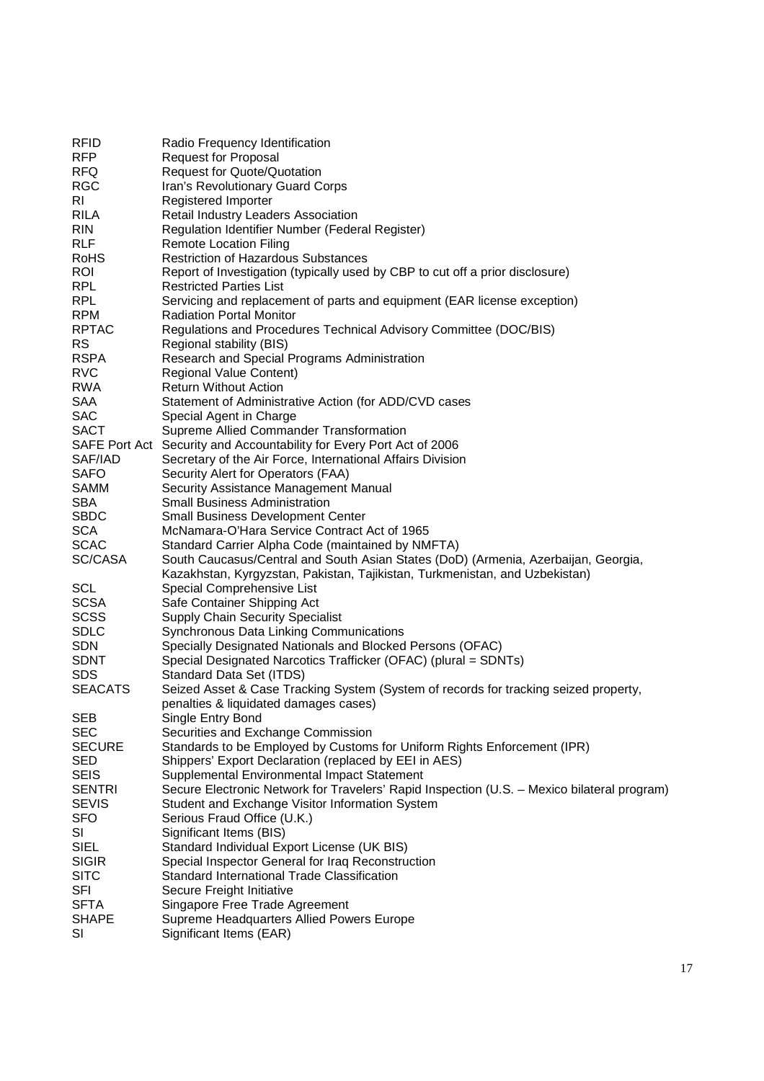| <b>RFID</b>    | Radio Frequency Identification                                                              |  |
|----------------|---------------------------------------------------------------------------------------------|--|
| <b>RFP</b>     | <b>Request for Proposal</b>                                                                 |  |
| RFQ            | <b>Request for Quote/Quotation</b>                                                          |  |
| <b>RGC</b>     | Iran's Revolutionary Guard Corps                                                            |  |
| RI             | Registered Importer                                                                         |  |
| <b>RILA</b>    | Retail Industry Leaders Association                                                         |  |
| <b>RIN</b>     | Regulation Identifier Number (Federal Register)                                             |  |
| <b>RLF</b>     | <b>Remote Location Filing</b>                                                               |  |
| <b>RoHS</b>    | <b>Restriction of Hazardous Substances</b>                                                  |  |
| <b>ROI</b>     | Report of Investigation (typically used by CBP to cut off a prior disclosure)               |  |
| <b>RPL</b>     | <b>Restricted Parties List</b>                                                              |  |
| <b>RPL</b>     | Servicing and replacement of parts and equipment (EAR license exception)                    |  |
| <b>RPM</b>     | <b>Radiation Portal Monitor</b>                                                             |  |
| <b>RPTAC</b>   | Regulations and Procedures Technical Advisory Committee (DOC/BIS)                           |  |
| <b>RS</b>      | Regional stability (BIS)                                                                    |  |
| <b>RSPA</b>    | Research and Special Programs Administration                                                |  |
| <b>RVC</b>     |                                                                                             |  |
|                | <b>Regional Value Content)</b>                                                              |  |
| <b>RWA</b>     | <b>Return Without Action</b>                                                                |  |
| SAA            | Statement of Administrative Action (for ADD/CVD cases                                       |  |
| <b>SAC</b>     | Special Agent in Charge                                                                     |  |
| <b>SACT</b>    | Supreme Allied Commander Transformation                                                     |  |
|                | SAFE Port Act Security and Accountability for Every Port Act of 2006                        |  |
| SAF/IAD        | Secretary of the Air Force, International Affairs Division                                  |  |
| <b>SAFO</b>    | Security Alert for Operators (FAA)                                                          |  |
| SAMM           | Security Assistance Management Manual                                                       |  |
| <b>SBA</b>     | <b>Small Business Administration</b>                                                        |  |
| <b>SBDC</b>    | Small Business Development Center                                                           |  |
| <b>SCA</b>     | McNamara-O'Hara Service Contract Act of 1965                                                |  |
| <b>SCAC</b>    | Standard Carrier Alpha Code (maintained by NMFTA)                                           |  |
| SC/CASA        | South Caucasus/Central and South Asian States (DoD) (Armenia, Azerbaijan, Georgia,          |  |
|                | Kazakhstan, Kyrgyzstan, Pakistan, Tajikistan, Turkmenistan, and Uzbekistan)                 |  |
| SCL            | Special Comprehensive List                                                                  |  |
| <b>SCSA</b>    | Safe Container Shipping Act                                                                 |  |
| <b>SCSS</b>    | <b>Supply Chain Security Specialist</b>                                                     |  |
| <b>SDLC</b>    | Synchronous Data Linking Communications                                                     |  |
| <b>SDN</b>     | Specially Designated Nationals and Blocked Persons (OFAC)                                   |  |
| <b>SDNT</b>    | Special Designated Narcotics Trafficker (OFAC) (plural = SDNTs)                             |  |
| <b>SDS</b>     | Standard Data Set (ITDS)                                                                    |  |
| <b>SEACATS</b> | Seized Asset & Case Tracking System (System of records for tracking seized property,        |  |
|                | penalties & liquidated damages cases)                                                       |  |
| SEB            | Single Entry Bond                                                                           |  |
| <b>SEC</b>     | Securities and Exchange Commission                                                          |  |
| <b>SECURE</b>  | Standards to be Employed by Customs for Uniform Rights Enforcement (IPR)                    |  |
| <b>SED</b>     | Shippers' Export Declaration (replaced by EEI in AES)                                       |  |
| <b>SEIS</b>    | Supplemental Environmental Impact Statement                                                 |  |
| <b>SENTRI</b>  | Secure Electronic Network for Travelers' Rapid Inspection (U.S. - Mexico bilateral program) |  |
| <b>SEVIS</b>   | Student and Exchange Visitor Information System                                             |  |
| <b>SFO</b>     | Serious Fraud Office (U.K.)                                                                 |  |
| SI             | Significant Items (BIS)                                                                     |  |
| SIEL           | Standard Individual Export License (UK BIS)                                                 |  |
| <b>SIGIR</b>   | Special Inspector General for Iraq Reconstruction                                           |  |
| <b>SITC</b>    | Standard International Trade Classification                                                 |  |
| SFI            | Secure Freight Initiative                                                                   |  |
| <b>SFTA</b>    | Singapore Free Trade Agreement                                                              |  |
| <b>SHAPE</b>   | Supreme Headquarters Allied Powers Europe                                                   |  |
| SI             | Significant Items (EAR)                                                                     |  |
|                |                                                                                             |  |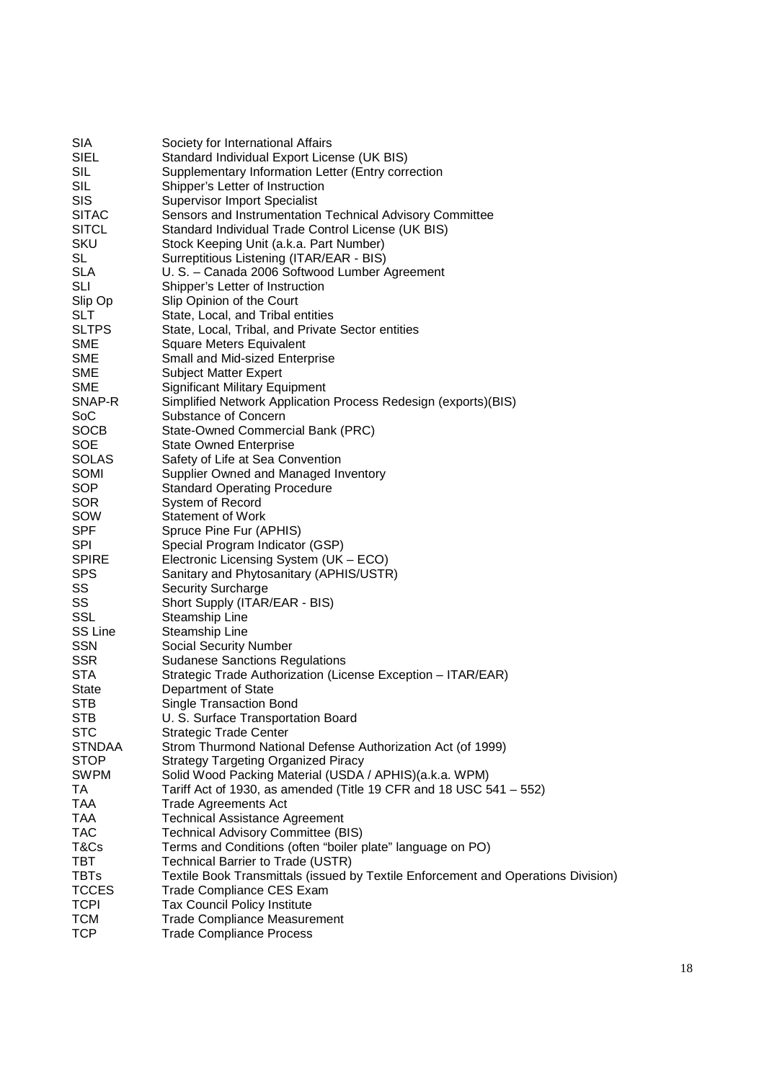| SIA           | Society for International Affairs                                                 |  |  |
|---------------|-----------------------------------------------------------------------------------|--|--|
| <b>SIEL</b>   | Standard Individual Export License (UK BIS)                                       |  |  |
| SIL           | Supplementary Information Letter (Entry correction                                |  |  |
| SIL           | Shipper's Letter of Instruction                                                   |  |  |
| SIS           | <b>Supervisor Import Specialist</b>                                               |  |  |
| <b>SITAC</b>  | Sensors and Instrumentation Technical Advisory Committee                          |  |  |
| <b>SITCL</b>  | Standard Individual Trade Control License (UK BIS)                                |  |  |
| <b>SKU</b>    |                                                                                   |  |  |
| SL            | Stock Keeping Unit (a.k.a. Part Number)                                           |  |  |
|               | Surreptitious Listening (ITAR/EAR - BIS)                                          |  |  |
| <b>SLA</b>    | U. S. - Canada 2006 Softwood Lumber Agreement                                     |  |  |
| SLI           | Shipper's Letter of Instruction                                                   |  |  |
| Slip Op       | Slip Opinion of the Court                                                         |  |  |
| SLT           | State, Local, and Tribal entities                                                 |  |  |
| <b>SLTPS</b>  | State, Local, Tribal, and Private Sector entities                                 |  |  |
| <b>SME</b>    | Square Meters Equivalent                                                          |  |  |
| <b>SME</b>    | Small and Mid-sized Enterprise                                                    |  |  |
| SME           | <b>Subject Matter Expert</b>                                                      |  |  |
| SME           | <b>Significant Military Equipment</b>                                             |  |  |
| SNAP-R        | Simplified Network Application Process Redesign (exports)(BIS)                    |  |  |
| SoC           | Substance of Concern                                                              |  |  |
| SOCB          | State-Owned Commercial Bank (PRC)                                                 |  |  |
| SOE           | <b>State Owned Enterprise</b>                                                     |  |  |
| <b>SOLAS</b>  | Safety of Life at Sea Convention                                                  |  |  |
|               |                                                                                   |  |  |
| SOMI          | Supplier Owned and Managed Inventory                                              |  |  |
| SOP           | <b>Standard Operating Procedure</b>                                               |  |  |
| SOR           | System of Record                                                                  |  |  |
| SOW           | <b>Statement of Work</b>                                                          |  |  |
| <b>SPF</b>    | Spruce Pine Fur (APHIS)                                                           |  |  |
| SPI           | Special Program Indicator (GSP)                                                   |  |  |
| <b>SPIRE</b>  | Electronic Licensing System (UK - ECO)                                            |  |  |
| <b>SPS</b>    | Sanitary and Phytosanitary (APHIS/USTR)                                           |  |  |
| SS            | <b>Security Surcharge</b>                                                         |  |  |
| SS            | Short Supply (ITAR/EAR - BIS)                                                     |  |  |
| SSL           | Steamship Line                                                                    |  |  |
| SS Line       | Steamship Line                                                                    |  |  |
| <b>SSN</b>    | <b>Social Security Number</b>                                                     |  |  |
| <b>SSR</b>    | <b>Sudanese Sanctions Regulations</b>                                             |  |  |
|               |                                                                                   |  |  |
| <b>STA</b>    | Strategic Trade Authorization (License Exception - ITAR/EAR)                      |  |  |
| State         | Department of State                                                               |  |  |
| <b>STB</b>    | <b>Single Transaction Bond</b>                                                    |  |  |
| STB           | U. S. Surface Transportation Board                                                |  |  |
| <b>STC</b>    | <b>Strategic Trade Center</b>                                                     |  |  |
| <b>STNDAA</b> | Strom Thurmond National Defense Authorization Act (of 1999)                       |  |  |
| <b>STOP</b>   | <b>Strategy Targeting Organized Piracy</b>                                        |  |  |
| <b>SWPM</b>   | Solid Wood Packing Material (USDA / APHIS)(a.k.a. WPM)                            |  |  |
| TA            | Tariff Act of 1930, as amended (Title 19 CFR and 18 USC 541 - 552)                |  |  |
| <b>TAA</b>    | <b>Trade Agreements Act</b>                                                       |  |  |
| TAA           | <b>Technical Assistance Agreement</b>                                             |  |  |
| <b>TAC</b>    | <b>Technical Advisory Committee (BIS)</b>                                         |  |  |
| T&Cs          | Terms and Conditions (often "boiler plate" language on PO)                        |  |  |
| <b>TBT</b>    | Technical Barrier to Trade (USTR)                                                 |  |  |
| <b>TBTs</b>   | Textile Book Transmittals (issued by Textile Enforcement and Operations Division) |  |  |
|               |                                                                                   |  |  |
| <b>TCCES</b>  | Trade Compliance CES Exam                                                         |  |  |
| <b>TCPI</b>   | Tax Council Policy Institute                                                      |  |  |
| <b>TCM</b>    | <b>Trade Compliance Measurement</b>                                               |  |  |
| <b>TCP</b>    | <b>Trade Compliance Process</b>                                                   |  |  |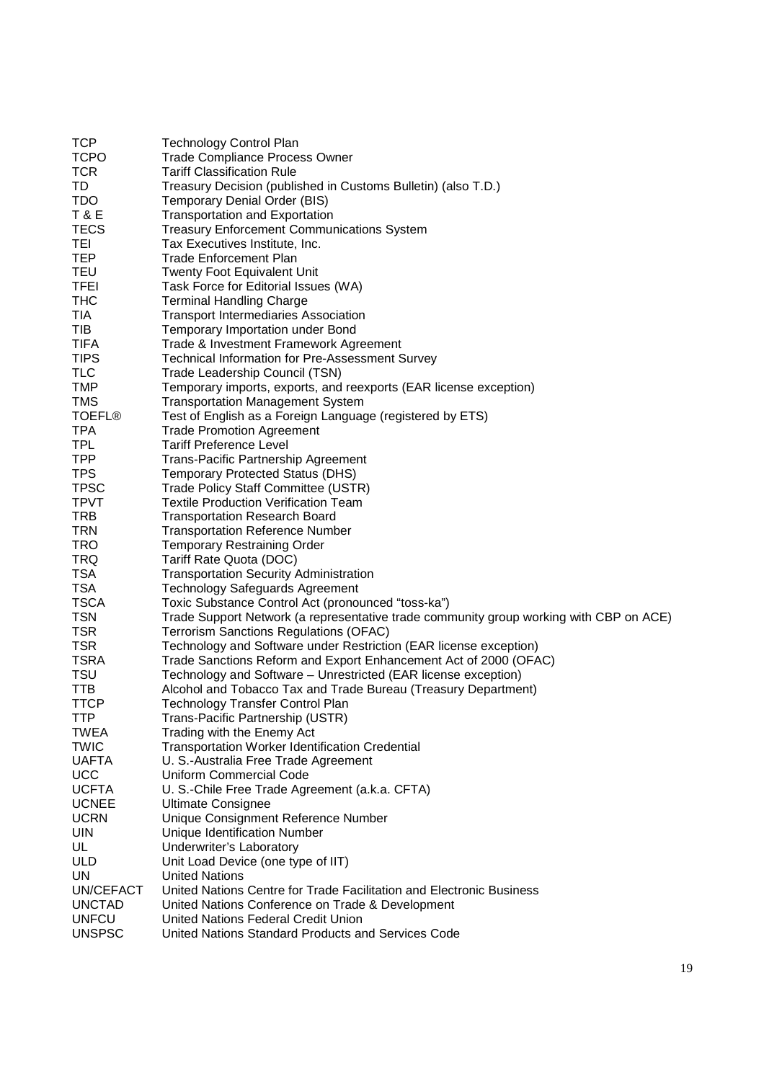| <b>TCP</b>     | <b>Technology Control Plan</b>                                                         |  |  |
|----------------|----------------------------------------------------------------------------------------|--|--|
| TCPO           | <b>Trade Compliance Process Owner</b>                                                  |  |  |
| <b>TCR</b>     | <b>Tariff Classification Rule</b>                                                      |  |  |
| TD             | Treasury Decision (published in Customs Bulletin) (also T.D.)                          |  |  |
| <b>TDO</b>     | Temporary Denial Order (BIS)                                                           |  |  |
| <b>T&amp;E</b> | <b>Transportation and Exportation</b>                                                  |  |  |
|                |                                                                                        |  |  |
| <b>TECS</b>    | <b>Treasury Enforcement Communications System</b>                                      |  |  |
| TEI            | Tax Executives Institute, Inc.                                                         |  |  |
| TEP            | <b>Trade Enforcement Plan</b>                                                          |  |  |
| TEU            | Twenty Foot Equivalent Unit                                                            |  |  |
| <b>TFEI</b>    | Task Force for Editorial Issues (WA)                                                   |  |  |
| <b>THC</b>     | <b>Terminal Handling Charge</b>                                                        |  |  |
| TIA            | <b>Transport Intermediaries Association</b>                                            |  |  |
| TIB            | Temporary Importation under Bond                                                       |  |  |
| <b>TIFA</b>    | Trade & Investment Framework Agreement                                                 |  |  |
| <b>TIPS</b>    | Technical Information for Pre-Assessment Survey                                        |  |  |
| <b>TLC</b>     | Trade Leadership Council (TSN)                                                         |  |  |
| <b>TMP</b>     | Temporary imports, exports, and reexports (EAR license exception)                      |  |  |
| <b>TMS</b>     | <b>Transportation Management System</b>                                                |  |  |
| <b>TOEFL®</b>  | Test of English as a Foreign Language (registered by ETS)                              |  |  |
| <b>TPA</b>     | <b>Trade Promotion Agreement</b>                                                       |  |  |
| <b>TPL</b>     | <b>Tariff Preference Level</b>                                                         |  |  |
| <b>TPP</b>     | Trans-Pacific Partnership Agreement                                                    |  |  |
| <b>TPS</b>     | <b>Temporary Protected Status (DHS)</b>                                                |  |  |
| <b>TPSC</b>    | Trade Policy Staff Committee (USTR)                                                    |  |  |
| <b>TPVT</b>    | <b>Textile Production Verification Team</b>                                            |  |  |
|                |                                                                                        |  |  |
| TRB            | <b>Transportation Research Board</b>                                                   |  |  |
| <b>TRN</b>     | <b>Transportation Reference Number</b>                                                 |  |  |
| TRO            | <b>Temporary Restraining Order</b>                                                     |  |  |
| TRQ            | Tariff Rate Quota (DOC)                                                                |  |  |
| <b>TSA</b>     | <b>Transportation Security Administration</b>                                          |  |  |
| <b>TSA</b>     | <b>Technology Safeguards Agreement</b>                                                 |  |  |
| <b>TSCA</b>    | Toxic Substance Control Act (pronounced "toss-ka")                                     |  |  |
| <b>TSN</b>     | Trade Support Network (a representative trade community group working with CBP on ACE) |  |  |
| <b>TSR</b>     | <b>Terrorism Sanctions Regulations (OFAC)</b>                                          |  |  |
| <b>TSR</b>     | Technology and Software under Restriction (EAR license exception)                      |  |  |
| <b>TSRA</b>    | Trade Sanctions Reform and Export Enhancement Act of 2000 (OFAC)                       |  |  |
| <b>TSU</b>     | Technology and Software - Unrestricted (EAR license exception)                         |  |  |
| TTB            | Alcohol and Tobacco Tax and Trade Bureau (Treasury Department)                         |  |  |
| <b>TTCP</b>    | Technology Transfer Control Plan                                                       |  |  |
| TTP            | Trans-Pacific Partnership (USTR)                                                       |  |  |
| TWEA           | Trading with the Enemy Act                                                             |  |  |
| <b>TWIC</b>    | <b>Transportation Worker Identification Credential</b>                                 |  |  |
| <b>UAFTA</b>   | U. S.-Australia Free Trade Agreement                                                   |  |  |
| <b>UCC</b>     | Uniform Commercial Code                                                                |  |  |
| <b>UCFTA</b>   | U. S.-Chile Free Trade Agreement (a.k.a. CFTA)                                         |  |  |
| <b>UCNEE</b>   | <b>Ultimate Consignee</b>                                                              |  |  |
|                |                                                                                        |  |  |
| <b>UCRN</b>    | Unique Consignment Reference Number                                                    |  |  |
| <b>UIN</b>     | Unique Identification Number                                                           |  |  |
| UL             | Underwriter's Laboratory                                                               |  |  |
| <b>ULD</b>     | Unit Load Device (one type of IIT)                                                     |  |  |
| UN             | <b>United Nations</b>                                                                  |  |  |
| UN/CEFACT      | United Nations Centre for Trade Facilitation and Electronic Business                   |  |  |
| <b>UNCTAD</b>  | United Nations Conference on Trade & Development                                       |  |  |
| <b>UNFCU</b>   | United Nations Federal Credit Union                                                    |  |  |
| <b>UNSPSC</b>  | United Nations Standard Products and Services Code                                     |  |  |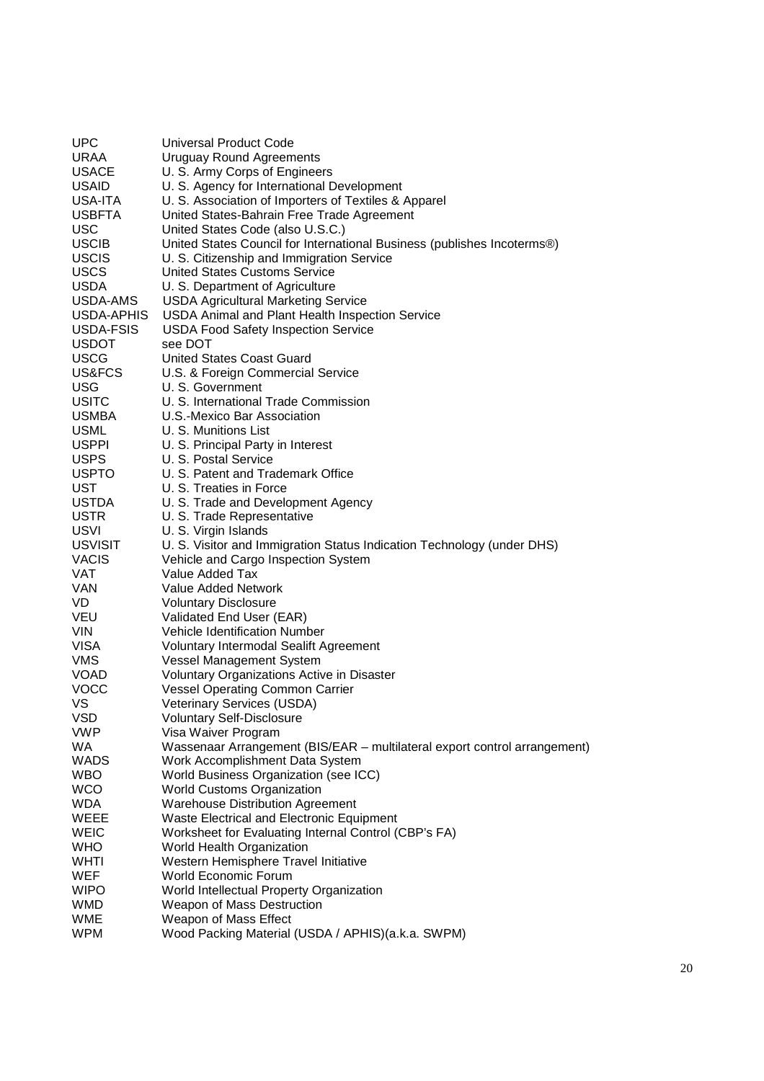| <b>UPC</b>          | Universal Product Code                                                    |  |  |  |
|---------------------|---------------------------------------------------------------------------|--|--|--|
| <b>URAA</b>         | <b>Uruguay Round Agreements</b>                                           |  |  |  |
| <b>USACE</b>        | U. S. Army Corps of Engineers                                             |  |  |  |
| <b>USAID</b>        | U. S. Agency for International Development                                |  |  |  |
| USA-ITA             | U. S. Association of Importers of Textiles & Apparel                      |  |  |  |
| <b>USBFTA</b>       | United States-Bahrain Free Trade Agreement                                |  |  |  |
| USC                 | United States Code (also U.S.C.)                                          |  |  |  |
| <b>USCIB</b>        | United States Council for International Business (publishes Incoterms®)   |  |  |  |
| <b>USCIS</b>        | U. S. Citizenship and Immigration Service                                 |  |  |  |
| <b>USCS</b>         | United States Customs Service                                             |  |  |  |
| USDA                | U. S. Department of Agriculture                                           |  |  |  |
| USDA-AMS            | <b>USDA Agricultural Marketing Service</b>                                |  |  |  |
| USDA-APHIS          | USDA Animal and Plant Health Inspection Service                           |  |  |  |
| USDA-FSIS           | <b>USDA Food Safety Inspection Service</b>                                |  |  |  |
| <b>USDOT</b>        | see DOT                                                                   |  |  |  |
| <b>USCG</b>         | <b>United States Coast Guard</b>                                          |  |  |  |
| US&FCS              | U.S. & Foreign Commercial Service                                         |  |  |  |
| USG                 | U. S. Government                                                          |  |  |  |
| <b>USITC</b>        | U. S. International Trade Commission                                      |  |  |  |
| <b>USMBA</b>        | U.S.-Mexico Bar Association                                               |  |  |  |
| USML                | U. S. Munitions List                                                      |  |  |  |
| <b>USPPI</b>        | U. S. Principal Party in Interest                                         |  |  |  |
| <b>USPS</b>         | U. S. Postal Service                                                      |  |  |  |
| USPTO               | U. S. Patent and Trademark Office                                         |  |  |  |
| UST                 | U. S. Treaties in Force                                                   |  |  |  |
| USTDA               |                                                                           |  |  |  |
|                     | U. S. Trade and Development Agency                                        |  |  |  |
| USTR<br><b>USVI</b> | U. S. Trade Representative                                                |  |  |  |
| <b>USVISIT</b>      | U. S. Virgin Islands                                                      |  |  |  |
| <b>VACIS</b>        | U. S. Visitor and Immigration Status Indication Technology (under DHS)    |  |  |  |
| VAT                 | Vehicle and Cargo Inspection System<br>Value Added Tax                    |  |  |  |
| <b>VAN</b>          |                                                                           |  |  |  |
| VD.                 | Value Added Network                                                       |  |  |  |
|                     | <b>Voluntary Disclosure</b>                                               |  |  |  |
| VEU                 | Validated End User (EAR)                                                  |  |  |  |
| VIN                 | Vehicle Identification Number                                             |  |  |  |
| <b>VISA</b>         | Voluntary Intermodal Sealift Agreement                                    |  |  |  |
| <b>VMS</b>          | Vessel Management System                                                  |  |  |  |
| <b>VOAD</b>         | Voluntary Organizations Active in Disaster                                |  |  |  |
| <b>VOCC</b>         | <b>Vessel Operating Common Carrier</b>                                    |  |  |  |
| VS                  | Veterinary Services (USDA)                                                |  |  |  |
| VSD                 | Voluntary Self-Disclosure                                                 |  |  |  |
| <b>VWP</b>          | Visa Waiver Program                                                       |  |  |  |
| WA                  | Wassenaar Arrangement (BIS/EAR - multilateral export control arrangement) |  |  |  |
| WADS                | Work Accomplishment Data System                                           |  |  |  |
| <b>WBO</b>          | World Business Organization (see ICC)                                     |  |  |  |
| <b>WCO</b>          | World Customs Organization                                                |  |  |  |
| <b>WDA</b>          | <b>Warehouse Distribution Agreement</b>                                   |  |  |  |
| WEEE                | Waste Electrical and Electronic Equipment                                 |  |  |  |
| <b>WEIC</b>         | Worksheet for Evaluating Internal Control (CBP's FA)                      |  |  |  |
| <b>WHO</b>          | World Health Organization                                                 |  |  |  |
| WHTI                | Western Hemisphere Travel Initiative                                      |  |  |  |
| WEF                 | World Economic Forum                                                      |  |  |  |
| <b>WIPO</b>         | World Intellectual Property Organization                                  |  |  |  |
| WMD                 | Weapon of Mass Destruction                                                |  |  |  |
| WME                 | Weapon of Mass Effect                                                     |  |  |  |
| <b>WPM</b>          | Wood Packing Material (USDA / APHIS)(a.k.a. SWPM)                         |  |  |  |